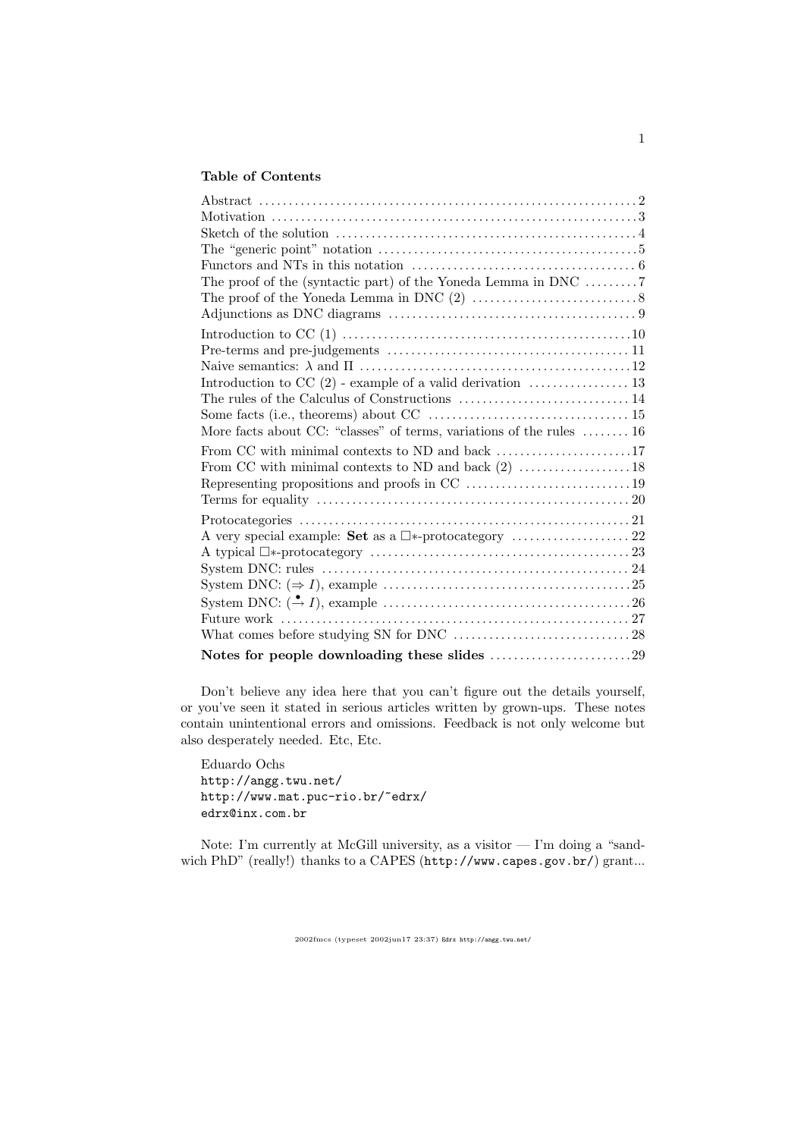## Table of Contents

| The "generic point" notation $\dots \dots \dots \dots \dots \dots \dots \dots \dots \dots \dots \dots \dots$ |
|--------------------------------------------------------------------------------------------------------------|
|                                                                                                              |
| The proof of the (syntactic part) of the Yoneda Lemma in DNC 7                                               |
|                                                                                                              |
|                                                                                                              |
|                                                                                                              |
|                                                                                                              |
|                                                                                                              |
|                                                                                                              |
|                                                                                                              |
|                                                                                                              |
| More facts about CC: "classes" of terms, variations of the rules $\dots \dots 16$                            |
| From CC with minimal contexts to ND and back 17                                                              |
|                                                                                                              |
|                                                                                                              |
|                                                                                                              |
|                                                                                                              |
|                                                                                                              |
|                                                                                                              |
|                                                                                                              |
|                                                                                                              |
|                                                                                                              |
|                                                                                                              |
|                                                                                                              |
| Notes for people downloading these slides 29                                                                 |

Don't believe any idea here that you can't figure out the details yourself, or you've seen it stated in serious articles written by grown-ups. These notes contain unintentional errors and omissions. Feedback is not only welcome but also desperately needed. Etc, Etc.

Eduardo Ochs http://angg.twu.net/ http://www.mat.puc-rio.br/~edrx/ edrx@inx.com.br

Note: I'm currently at McGill university, as a visitor — I'm doing a "sandwich PhD" (really!) thanks to a CAPES (http://www.capes.gov.br/) grant...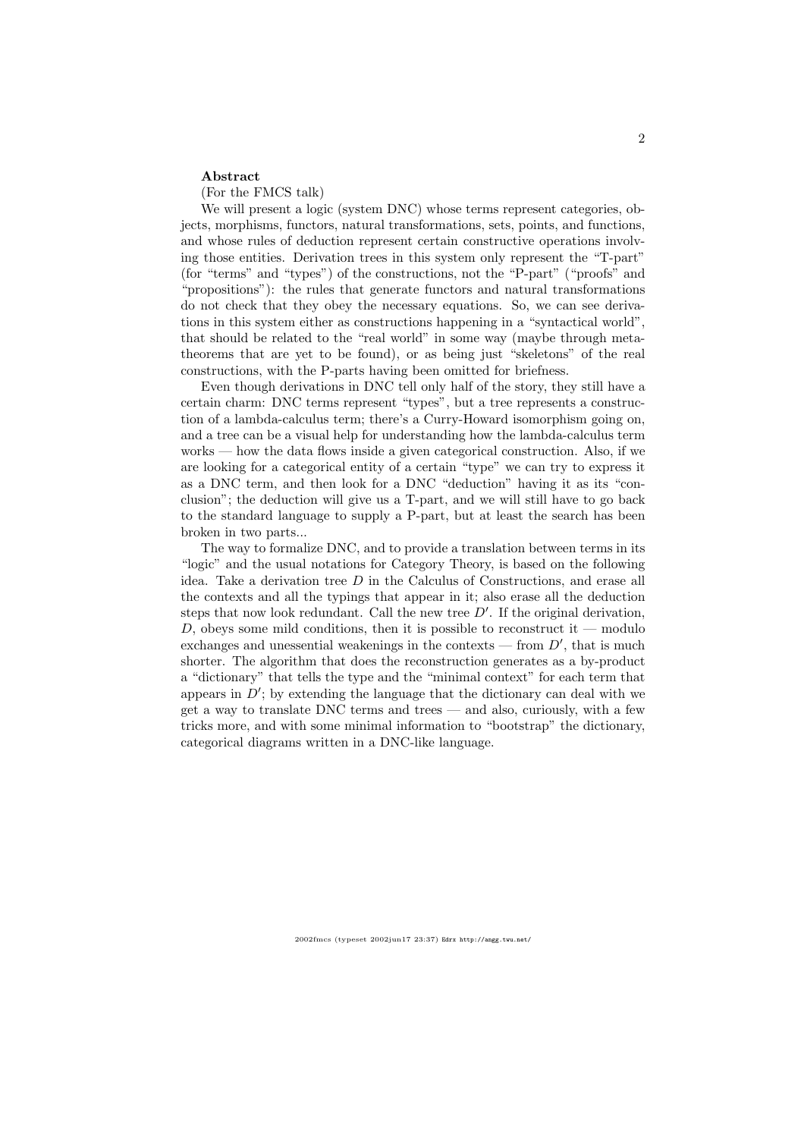#### Abstract

(For the FMCS talk)

We will present a logic (system DNC) whose terms represent categories, objects, morphisms, functors, natural transformations, sets, points, and functions, and whose rules of deduction represent certain constructive operations involving those entities. Derivation trees in this system only represent the "T-part" (for "terms" and "types") of the constructions, not the "P-part" ("proofs" and "propositions"): the rules that generate functors and natural transformations do not check that they obey the necessary equations. So, we can see derivations in this system either as constructions happening in a "syntactical world", that should be related to the "real world" in some way (maybe through metatheorems that are yet to be found), or as being just "skeletons" of the real constructions, with the P-parts having been omitted for briefness.

Even though derivations in DNC tell only half of the story, they still have a certain charm: DNC terms represent "types", but a tree represents a construction of a lambda-calculus term; there's a Curry-Howard isomorphism going on, and a tree can be a visual help for understanding how the lambda-calculus term works — how the data flows inside a given categorical construction. Also, if we are looking for a categorical entity of a certain "type" we can try to express it as a DNC term, and then look for a DNC "deduction" having it as its "conclusion"; the deduction will give us a T-part, and we will still have to go back to the standard language to supply a P-part, but at least the search has been broken in two parts...

The way to formalize DNC, and to provide a translation between terms in its "logic" and the usual notations for Category Theory, is based on the following idea. Take a derivation tree  $D$  in the Calculus of Constructions, and erase all the contexts and all the typings that appear in it; also erase all the deduction steps that now look redundant. Call the new tree  $D'$ . If the original derivation, D, obeys some mild conditions, then it is possible to reconstruct it — modulo exchanges and unessential weakenings in the contexts — from  $D'$ , that is much shorter. The algorithm that does the reconstruction generates as a by-product a "dictionary" that tells the type and the "minimal context" for each term that appears in  $D'$ ; by extending the language that the dictionary can deal with we get a way to translate DNC terms and trees — and also, curiously, with a few tricks more, and with some minimal information to "bootstrap" the dictionary, categorical diagrams written in a DNC-like language.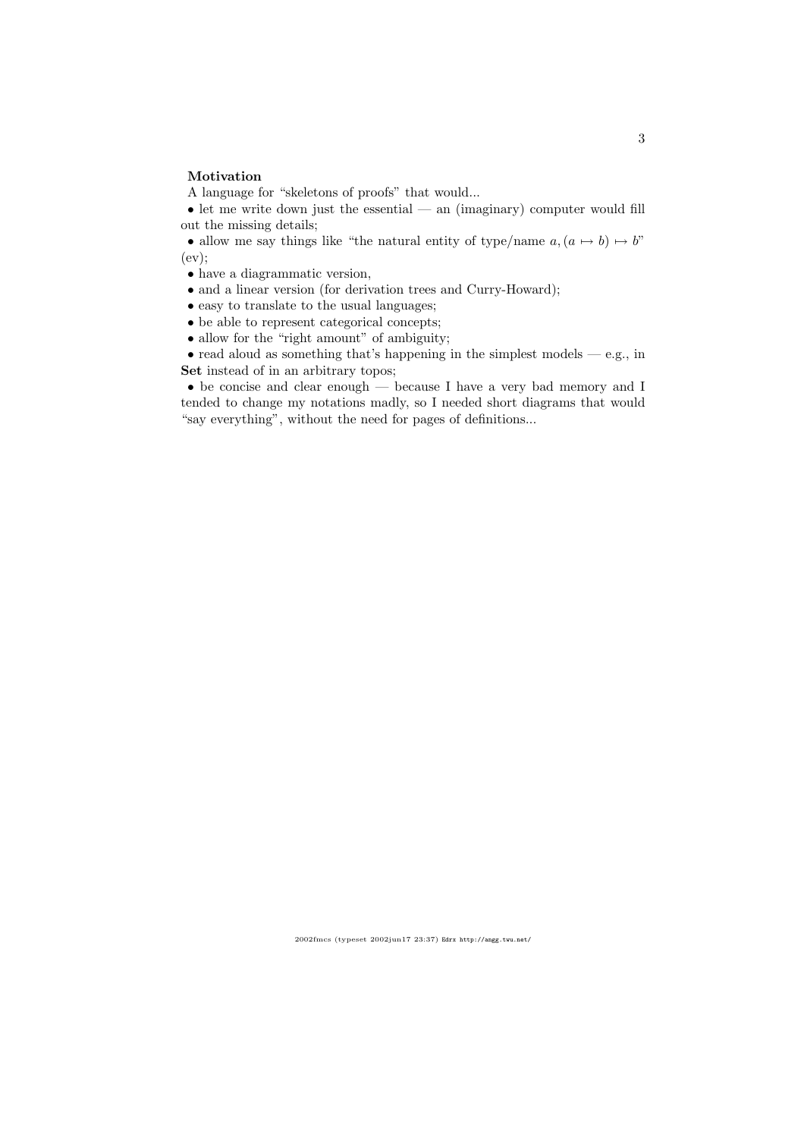#### Motivation

A language for "skeletons of proofs" that would...

• let me write down just the essential — an (imaginary) computer would fill out the missing details;

• allow me say things like "the natural entity of type/name  $a,(a \mapsto b) \mapsto b$ " (ev);

• have a diagrammatic version,

- and a linear version (for derivation trees and Curry-Howard);
- easy to translate to the usual languages;
- be able to represent categorical concepts;
- allow for the "right amount" of ambiguity;

 $\bullet$  read aloud as something that's happening in the simplest models — e.g., in Set instead of in an arbitrary topos;

• be concise and clear enough — because I have a very bad memory and I tended to change my notations madly, so I needed short diagrams that would "say everything", without the need for pages of definitions...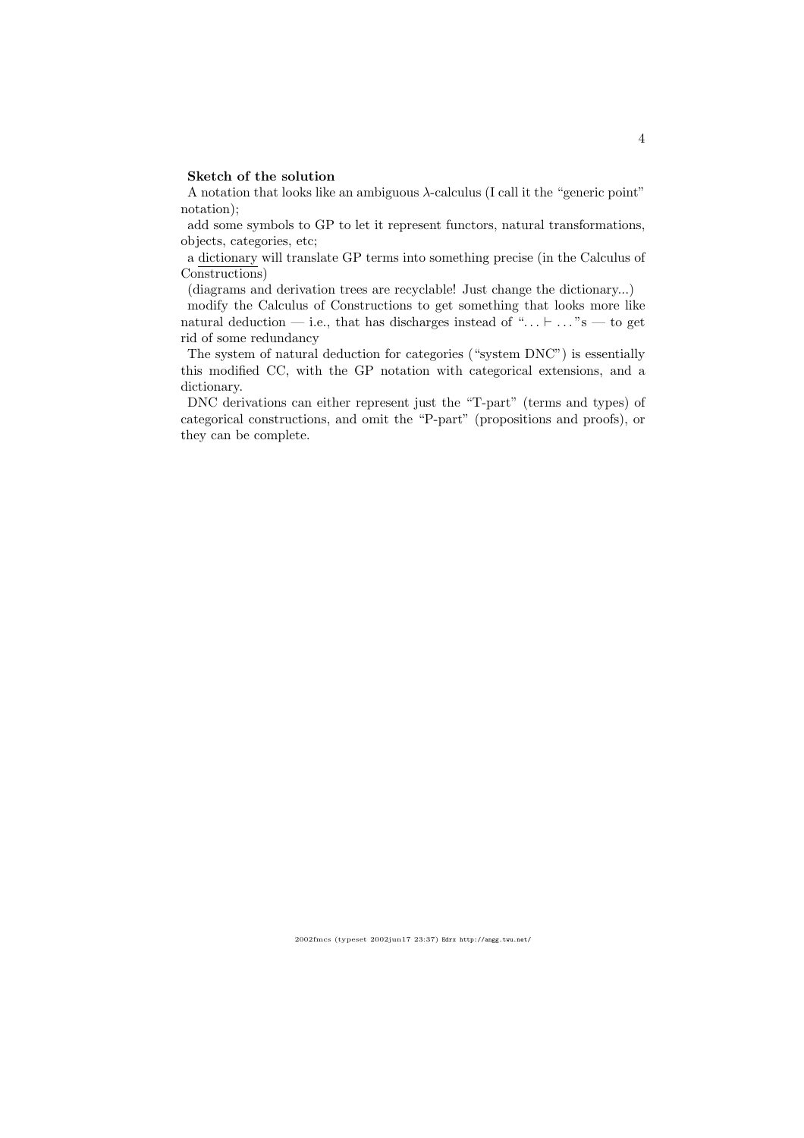### Sketch of the solution

A notation that looks like an ambiguous  $\lambda$ -calculus (I call it the "generic point" notation);

add some symbols to GP to let it represent functors, natural transformations, objects, categories, etc;

a dictionary will translate GP terms into something precise (in the Calculus of Constructions)

(diagrams and derivation trees are recyclable! Just change the dictionary...)

modify the Calculus of Constructions to get something that looks more like natural deduction — i.e., that has discharges instead of " $\dots \vdash \dots$ "s — to get rid of some redundancy

The system of natural deduction for categories ("system DNC") is essentially this modified CC, with the GP notation with categorical extensions, and a dictionary.

DNC derivations can either represent just the "T-part" (terms and types) of categorical constructions, and omit the "P-part" (propositions and proofs), or they can be complete.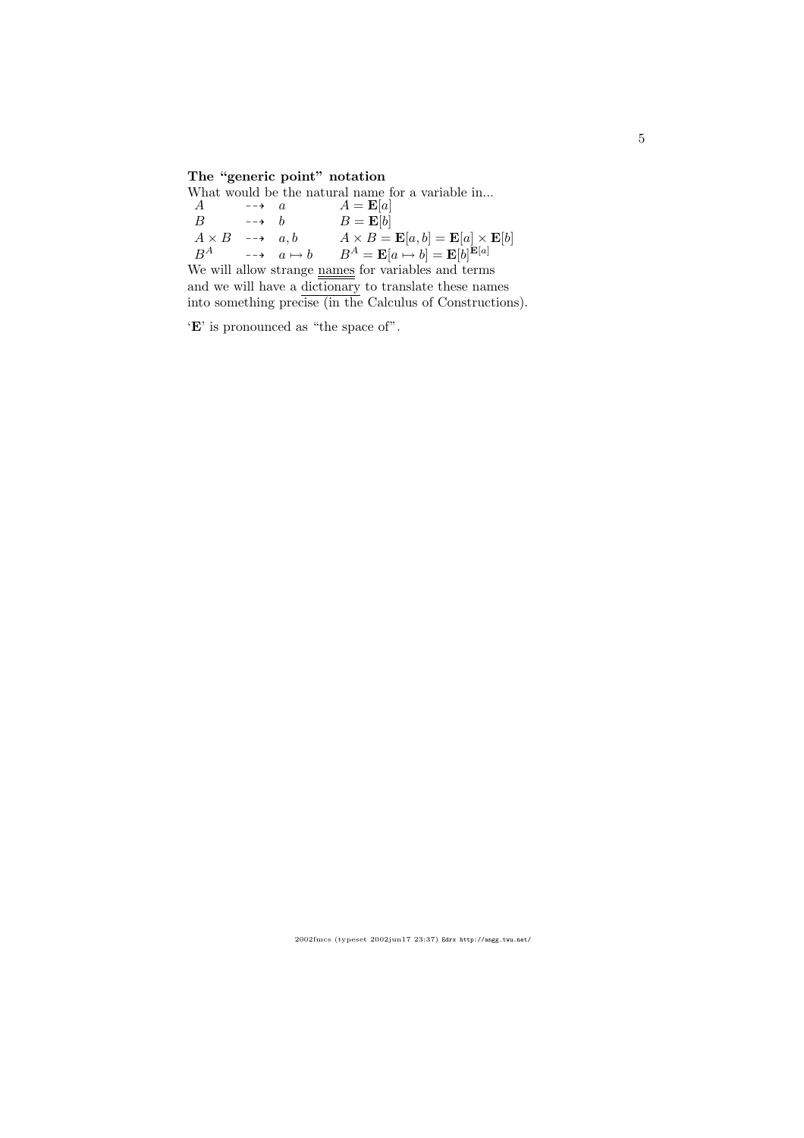# The "generic point" notation

| What would be the natural name for a variable in           |                      |  |                                                                                              |  |  |
|------------------------------------------------------------|----------------------|--|----------------------------------------------------------------------------------------------|--|--|
| $\overline{A}$                                             | $\overrightarrow{a}$ |  | $A = \mathbf{E}[a]$                                                                          |  |  |
| B                                                          | $\rightarrow$ h      |  | $B = \mathbf{E}[b]$                                                                          |  |  |
| $A \times B \longrightarrow a, b$                          |                      |  | $A \times B = \mathbf{E}[a, b] = \mathbf{E}[a] \times \mathbf{E}[b]$                         |  |  |
|                                                            |                      |  | $B^A$ $\longrightarrow$ $a \mapsto b$ $B^A = \mathbf{E}[a \mapsto b] = \mathbf{E}[b]^{E[a]}$ |  |  |
| We will allow strange names for variables and terms        |                      |  |                                                                                              |  |  |
| and we will have a dictionary to translate these names     |                      |  |                                                                                              |  |  |
| into something precise (in the Calculus of Constructions). |                      |  |                                                                                              |  |  |
|                                                            |                      |  |                                                                                              |  |  |

 $\lq\mathbf{E}'$  is pronounced as "the space of".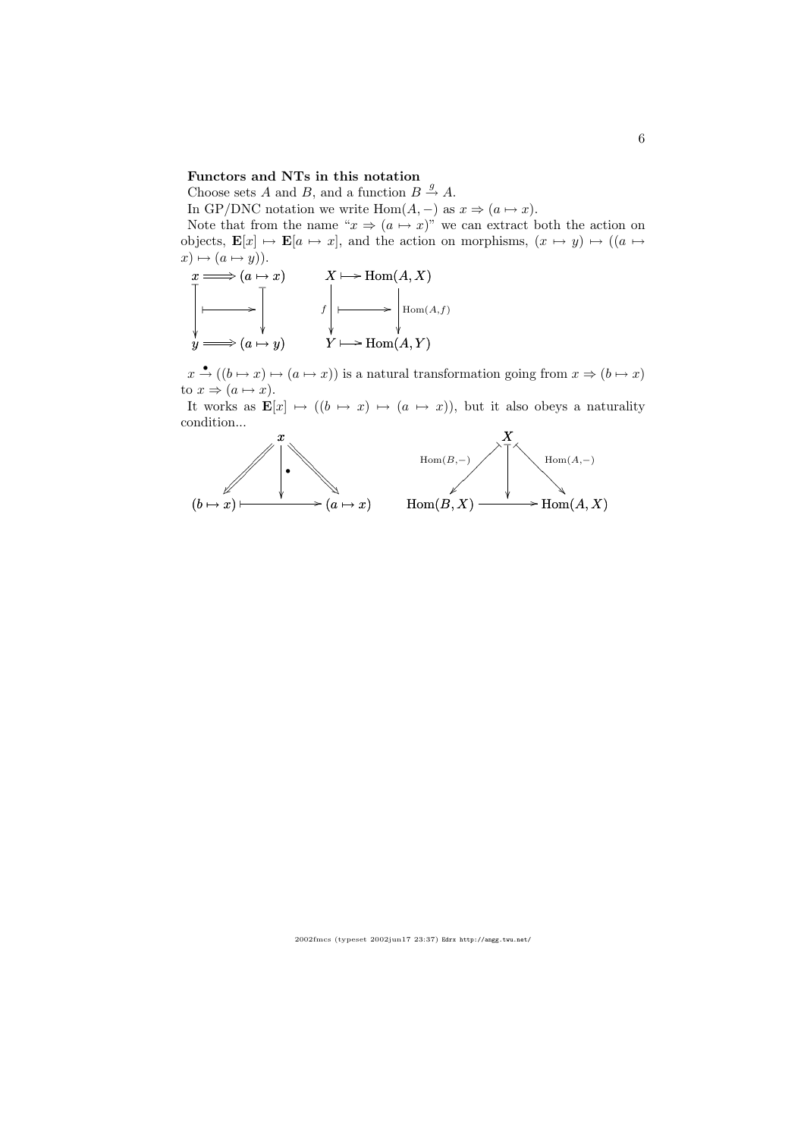### Functors and NTs in this notation

Choose sets A and B, and a function  $B \stackrel{g}{\rightarrow} A$ .

In GP/DNC notation we write Hom $(A, -)$  as  $x \Rightarrow (a \mapsto x)$ .

Note that from the name " $x \Rightarrow (a \mapsto x)$ " we can extract both the action on objects,  $\mathbf{E}[x] \mapsto \mathbf{E}[a \mapsto x]$ , and the action on morphisms,  $(x \mapsto y) \mapsto ((a \mapsto y) \mapsto y)$  $x) \mapsto (a \mapsto y).$ 



 $x \stackrel{\bullet}{\rightarrow} ((b \mapsto x) \mapsto (a \mapsto x))$  is a natural transformation going from  $x \Rightarrow (b \mapsto x)$ to  $x \Rightarrow (a \mapsto x)$ .

It works as  $\mathbf{E}[x] \mapsto ((b \mapsto x) \mapsto (a \mapsto x))$ , but it also obeys a naturality condition...

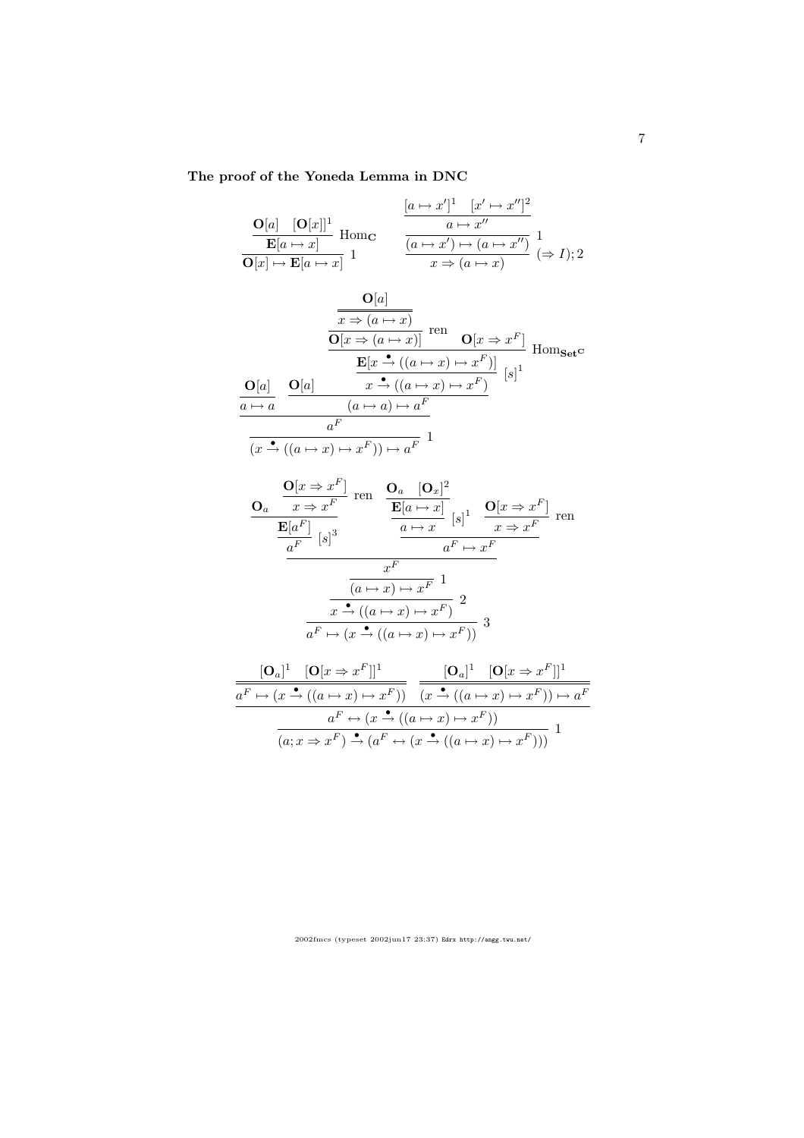# The proof of the Yoneda Lemma in DNC

$$
\frac{\mathbf{O}[a] \quad [\mathbf{O}[x]]^1}{\mathbf{E}[a \mapsto x]} \text{ Hom}_{\mathbf{C}} \qquad \frac{\frac{[a \mapsto x']^1 \quad [x' \mapsto x'']^2}{a \mapsto x''}}{\frac{a \mapsto x''}{\frac{(a \mapsto x') \mapsto (a \mapsto x'')}{x \mapsto (a \mapsto x)}}} \frac{1}{(\Rightarrow I); 2}
$$

$$
\frac{\mathbf{O}[a]}{\mathbf{O}[x \Rightarrow (a \mapsto x)]} \text{ ren } \frac{\overline{\mathbf{O}[x \Rightarrow (a \mapsto x)]}}{\mathbf{O}[x \Rightarrow (a \mapsto x)]} \text{ Hom}_{\mathbf{Set}} \mathbf{C}
$$
  

$$
\frac{\mathbf{O}[a]}{\mathbf{O}[a]} \quad \frac{\mathbf{O}[a]}{\mathbf{O}[x \xrightarrow{\bullet} ((a \mapsto x) \mapsto x^F)]} [s]^1
$$
  

$$
\frac{a \mapsto a}{a^F}
$$

$$
\frac{a}{(x \xrightarrow{\bullet} ((a \mapsto x) \mapsto x^F)) \mapsto a^F} \xrightarrow{1}
$$

$$
\frac{\mathbf{O}_{a} \quad \frac{\mathbf{O}[x \Rightarrow x^{F}]}{x \Rightarrow x^{F}} \text{ ren } \quad \frac{\mathbf{O}_{a} \quad [\mathbf{O}_{x}]^{2}}{\mathbf{E}[a \mapsto x]} \quad [s]^{1} \quad \frac{\mathbf{O}[x \Rightarrow x^{F}]}{x \Rightarrow x^{F}} \text{ ren } \frac{\mathbf{E}[a^{F}]}{a^{F}} \quad [s]^{3} \quad \frac{a \mapsto x}{a^{F} \mapsto x^{F}} \quad \frac{x^{F}}{(a \mapsto x) \mapsto x^{F} \quad 1} \quad \frac{x^{F}}{(a \mapsto x) \mapsto x^{F} \quad 2} \quad \frac{x^{A} \cdot ((a \mapsto x) \mapsto x^{F})}{a^{F} \mapsto (x \stackrel{\blacktriangle}{\rightarrow} ((a \mapsto x) \mapsto x^{F}))} \quad 3
$$

$$
\frac{[\mathbf{O}_a]^1 \quad [\mathbf{O}[x \Rightarrow x^F]]^1}{a^F \mapsto (x \xrightarrow{\bullet} ((a \mapsto x) \mapsto x^F))} \quad \frac{[\mathbf{O}_a]^1 \quad [\mathbf{O}[x \Rightarrow x^F]]^1}{(x \xrightarrow{\bullet} ((a \mapsto x) \mapsto x^F)) \mapsto a^F}
$$
\n
$$
\frac{a^F \leftrightarrow (x \xrightarrow{\bullet} ((a \mapsto x) \mapsto x^F))}{(a; x \Rightarrow x^F) \xrightarrow{\bullet} (a^F \leftrightarrow (x \xrightarrow{\bullet} ((a \mapsto x) \mapsto x^F)))} \quad 1
$$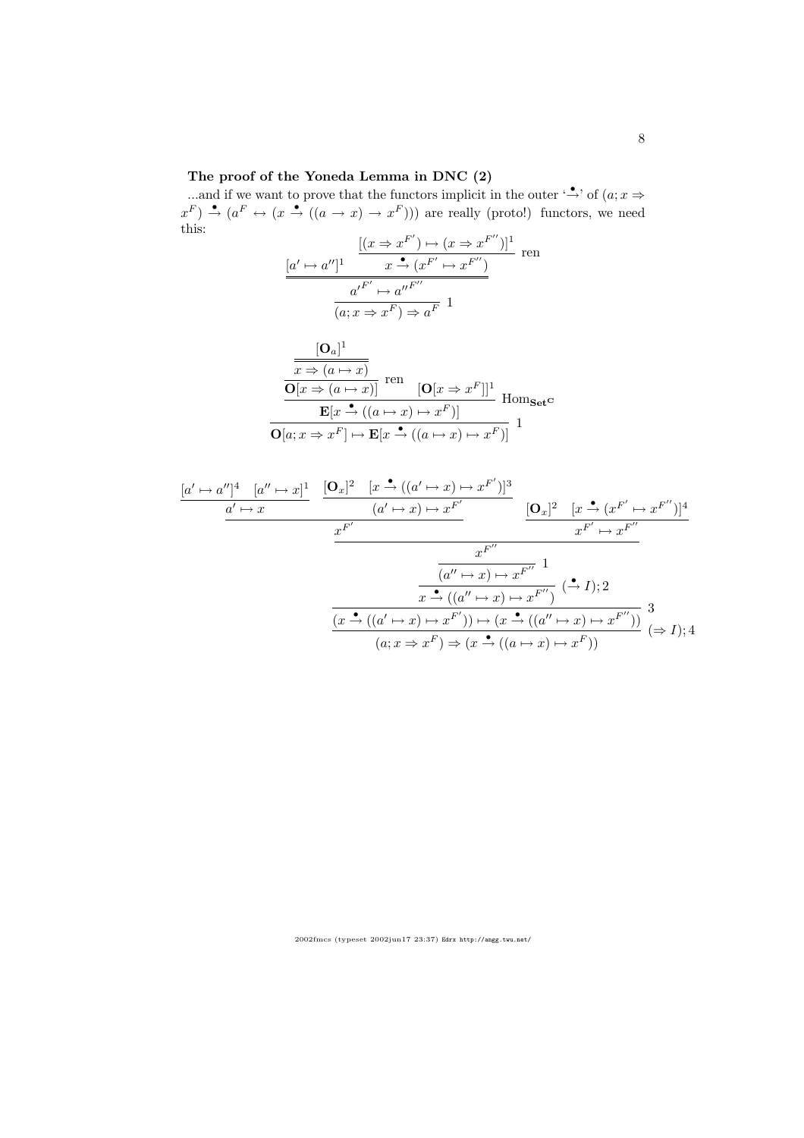### The proof of the Yoneda Lemma in DNC (2)

...and if we want to prove that the functors implicit in the outer ' $\stackrel{\bullet}{\rightarrow}$ ' of  $(a; x \Rightarrow$  $x^F$ )  $\stackrel{\bullet}{\to}$   $(a^F \leftrightarrow (x \stackrel{\bullet}{\to} ((a \to x) \to x^F)))$  are really (proto!) functors, we need this:

$$
\frac{[(x \Rightarrow x^{F'}) \mapsto (x \Rightarrow x^{F''})]^1}{x \xrightarrow{\bullet} (x^{F'} \mapsto x^{F''})}
$$
ren
$$
\frac{a'^{F'} \mapsto a''^{F''}}{(a; x \Rightarrow x^F) \Rightarrow a^F} 1
$$

$$
\frac{[\mathbf{O}_a]^1}{\mathbf{O}[x \Rightarrow (a \mapsto x)]} \text{ ren } \frac{\overbrace{\mathbf{O}[x \Rightarrow (a \mapsto x)]}}{\mathbf{E}[x \stackrel{\bullet}{\rightarrow} ((a \mapsto x) \mapsto x^F)]} \text{Hom}_{\mathbf{Set}^{\mathbf{C}}}
$$

$$
\frac{\mathbf{E}[x \stackrel{\bullet}{\rightarrow} ((a \mapsto x) \mapsto x^F)]}{\mathbf{O}[a; x \Rightarrow x^F] \mapsto \mathbf{E}[x \stackrel{\bullet}{\rightarrow} ((a \mapsto x) \mapsto x^F)]} \mathbf{1}
$$

$$
\frac{[a' \mapsto a'']^4 \quad [a'' \mapsto x]^1}{a' \mapsto x} \quad \frac{[\mathbf{O}_x]^2 \quad [x \stackrel{\bullet}{\to} ((a' \mapsto x) \mapsto x^{F'})]^3}{(a' \mapsto x) \mapsto x^{F'}}}{x^{F'} \quad \frac{x^{F''}}{x^{F'} \mapsto x^{F''}}}
$$
\n
$$
\frac{x^{F''}}{(a'' \mapsto x) \mapsto x^{F''}} \quad 1
$$
\n
$$
\frac{[a'' \mapsto x) \mapsto x^{F''}}{(a'' \mapsto x) \mapsto x^{F''}} \quad (\stackrel{\bullet}{\to} I);2
$$
\n
$$
\frac{x \stackrel{\bullet}{\to} ((a' \mapsto x) \mapsto x^{F'})}{(a; x \Rightarrow x^F) \mapsto (x \stackrel{\bullet}{\to} ((a'' \mapsto x) \mapsto x^{F''}))} \quad 3
$$
\n
$$
(a; x \Rightarrow x^F) \Rightarrow (x \stackrel{\bullet}{\to} ((a \mapsto x) \mapsto x^F))
$$
\n
$$
(\Rightarrow I);4
$$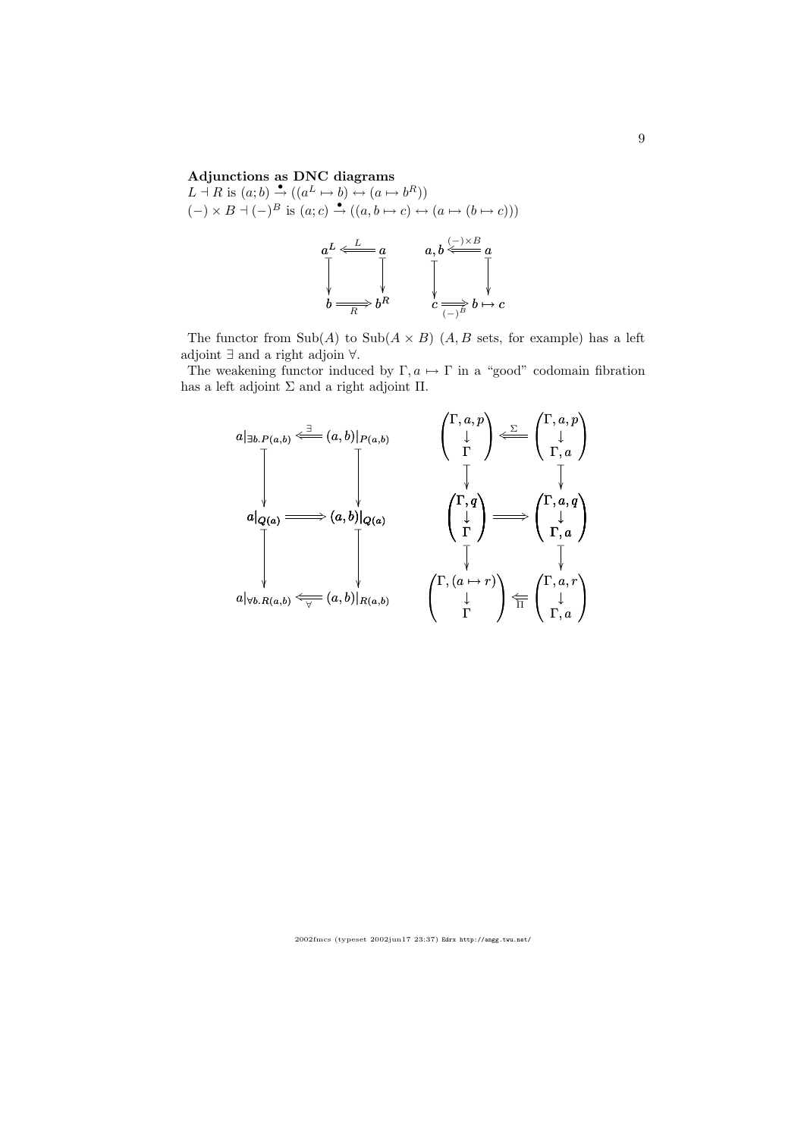### Adjunctions as DNC diagrams

 $L \dashv R$  is  $(a;b) \stackrel{\bullet}{\to} ((a^L \mapsto b) \leftrightarrow (a \mapsto b^R))$  $(-) \times B \dashv (-)^B$  is  $(a; c) \stackrel{\bullet}{\to} ((a, b \mapsto c) \leftrightarrow (a \mapsto (b \mapsto c)))$ 

$$
aL \leftarrow \frac{L}{a} a
$$
\n
$$
\downarrow \qquad a, b \leftarrow \frac{L}{b} a
$$
\n
$$
\downarrow \qquad \qquad \downarrow \qquad \qquad \downarrow \qquad \qquad \downarrow
$$
\n
$$
b \xrightarrow{\text{R}} b \xrightarrow{\text{R}} b \xrightarrow{\text{R}} b \xrightarrow{\text{R}} b \xrightarrow{\text{R}} b \xrightarrow{\text{R}} b
$$

The functor from  $\text{Sub}(A)$  to  $\text{Sub}(A \times B)$   $(A, B$  sets, for example) has a left adjoint ∃ and a right adjoin ∀.

The weakening functor induced by  $\Gamma, a \mapsto \Gamma$  in a "good" codomain fibration has a left adjoint  $\Sigma$  and a right adjoint  $\Pi$ .

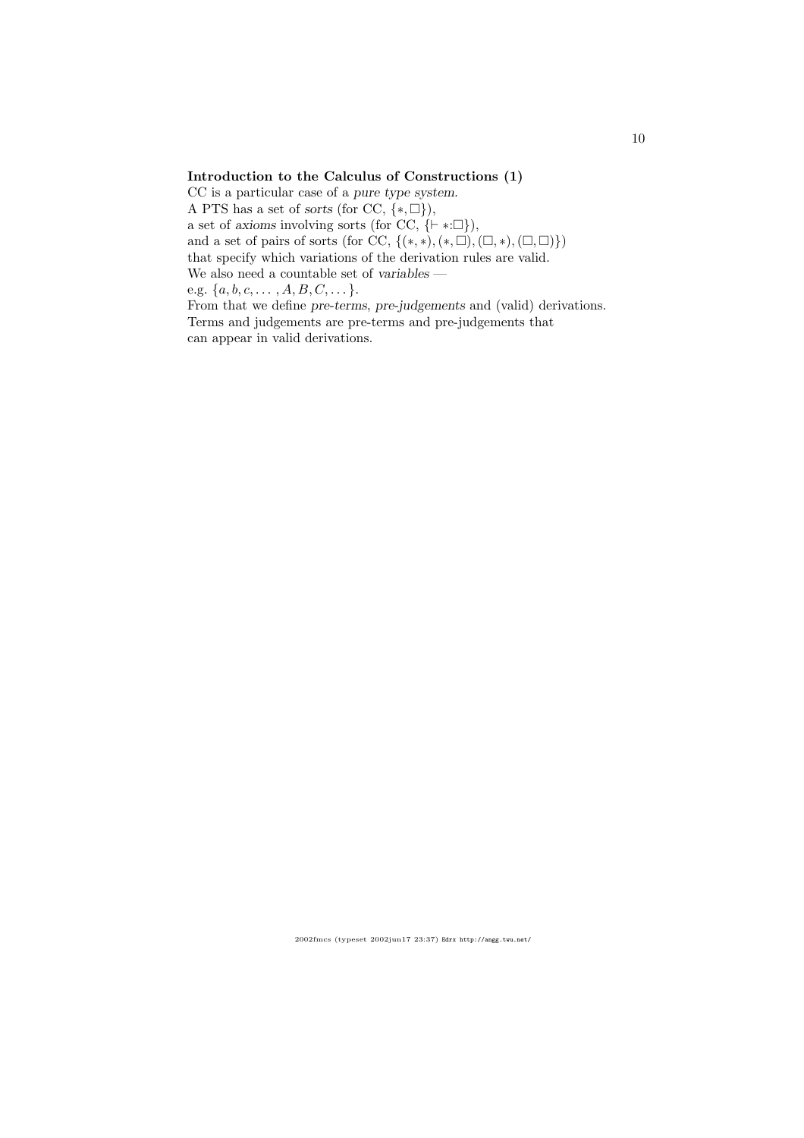### Introduction to the Calculus of Constructions (1)

CC is a particular case of a pure type system. A PTS has a set of sorts (for CC,  $\{*, \Box\}$ ), a set of axioms involving sorts (for CC,  ${+ * : \Box},$ ), and a set of pairs of sorts (for CC,  $\{(*,\ast),(*,\square),(\square,\ast),(\square,\square)\}\)$ that specify which variations of the derivation rules are valid. We also need a countable set of variables e.g.  $\{a, b, c, \ldots, A, B, C, \ldots\}.$ From that we define pre-terms, pre-judgements and (valid) derivations.

Terms and judgements are pre-terms and pre-judgements that can appear in valid derivations.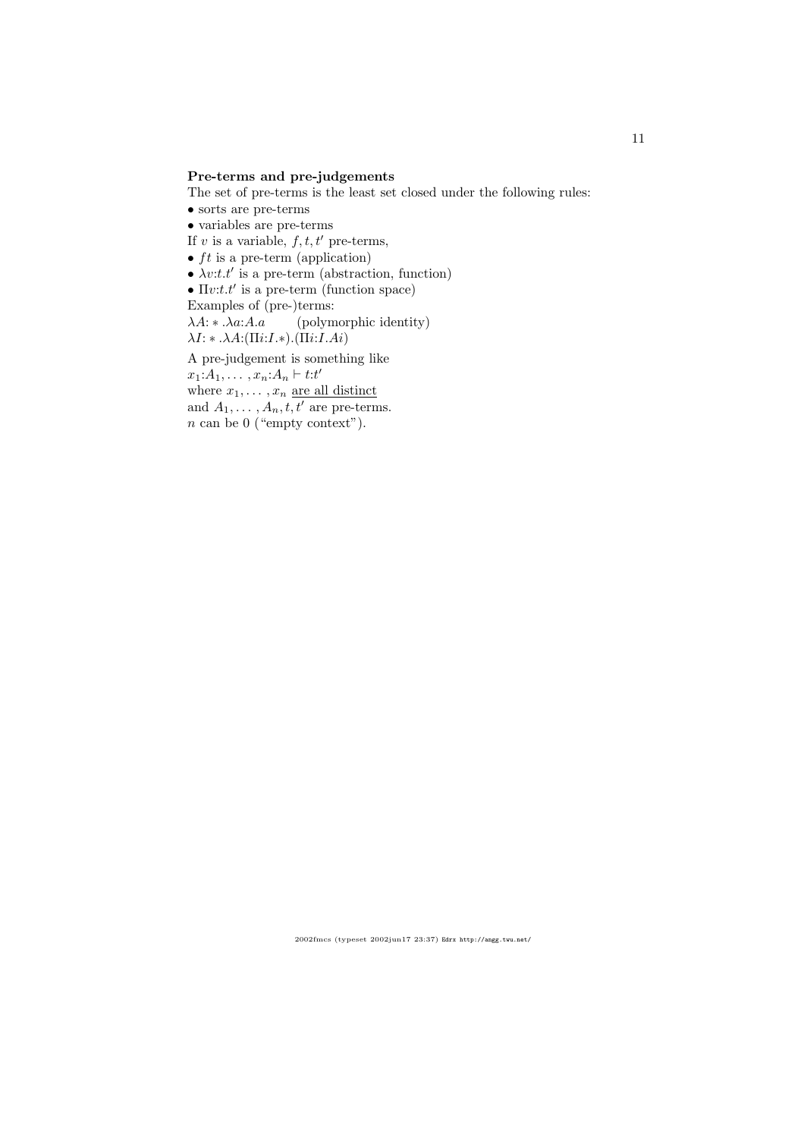### Pre-terms and pre-judgements

The set of pre-terms is the least set closed under the following rules:

- $\bullet$  sorts are pre-terms
- variables are pre-terms
- If v is a variable,  $f, t, t'$  pre-terms,
- $ft$  is a pre-term (application)
- $\lambda v$ :*t.t'* is a pre-term (abstraction, function)

•  $\Pi v:t.t'$  is a pre-term (function space)

Examples of (pre-)terms:

 $\lambda A: \star \lambda a:A.a$  (polymorphic identity)  $\lambda I: * \ldots \lambda A: (\Pi i: I.*) \ldots (\Pi i: I. A i)$ 

A pre-judgement is something like

 $x_1: A_1, \ldots, x_n: A_n \vdash t: t'$ 

where  $x_1, \ldots, x_n$  are all distinct

and  $A_1, \ldots, A_n, t, t'$  are pre-terms.

n can be 0 ("empty context").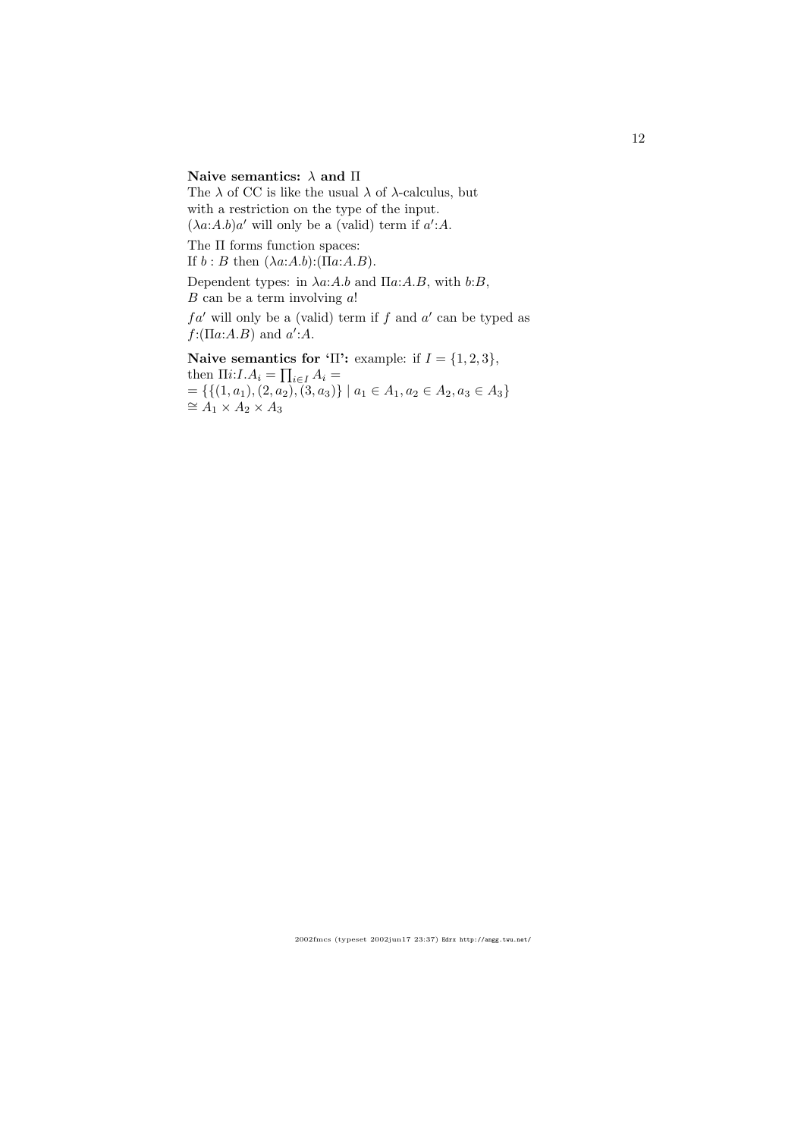# Naive semantics:  $\lambda$  and  $\Pi$

The  $\lambda$  of CC is like the usual  $\lambda$  of  $\lambda$ -calculus, but with a restriction on the type of the input.  $(\lambda a:A.b)a'$  will only be a (valid) term if  $a':A$ .

The Π forms function spaces:

If  $b : B$  then  $(\lambda a:A.b):(\Pi a:A.B).$ 

Dependent types: in  $\lambda a:A.b$  and  $\Pi a:A.B$ , with  $b:B$ ,  $B$  can be a term involving  $a!$ 

 $fa'$  will only be a (valid) term if f and  $a'$  can be typed as  $f: (\Pi a:A.B)$  and  $a':A.$ 

# Naive semantics for 'Π': example: if  $I = \{1, 2, 3\}$ ,

then  $\Pi i: I.A_i = \prod_{i \in I} A_i =$  $=\{\{(1,a_1), (2,a_2), (3,a_3)\}\mid a_1\in A_1, a_2\in A_2, a_3\in A_3\}$  $\cong$  A<sub>1</sub> × A<sub>2</sub> × A<sub>3</sub>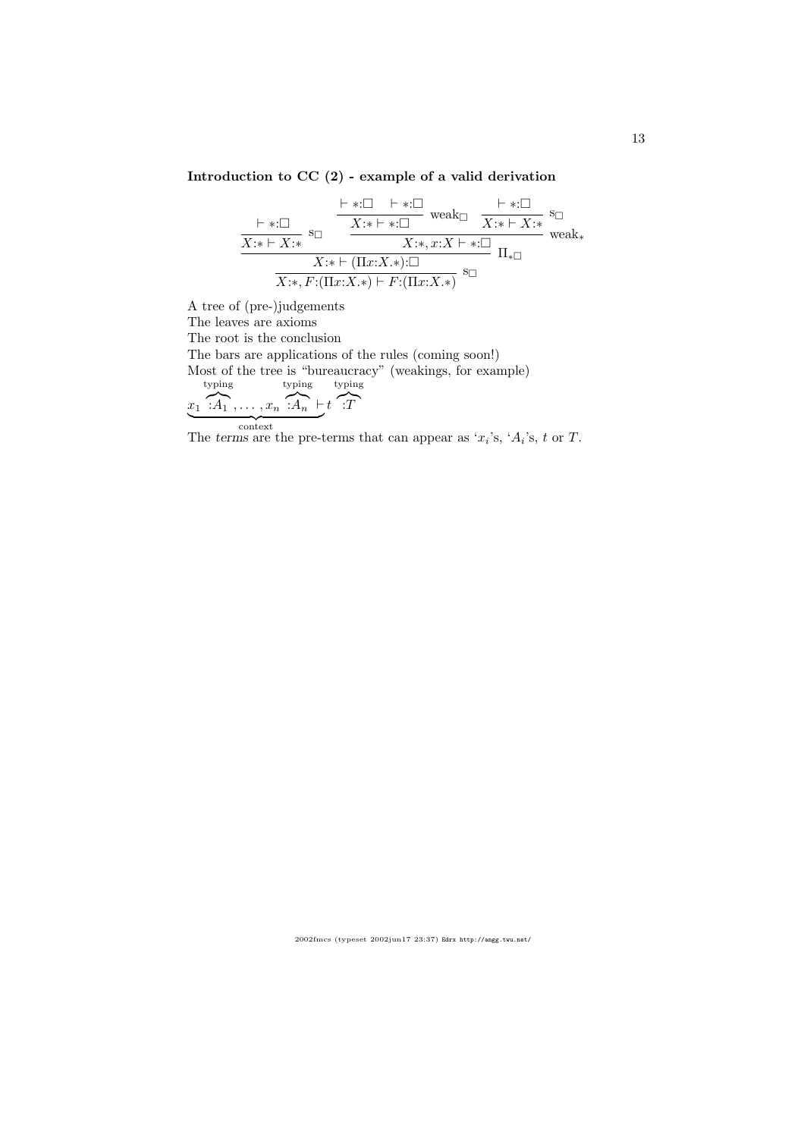# Introduction to CC (2) - example of a valid derivation

$$
\frac{\vdash *:\square \qquad \vdash *:\square \qquad \text{weak}\square \qquad \downarrow \quad \cdot:\square \qquad}_{X:\ast \vdash X:\ast} \text{ }\text{s}_{\square}\qquad \frac{\vdash *:\square \qquad \text{weak}\square}{X:\ast \vdash *:\square \qquad \qquad X:\ast \vdash *:\square \qquad \qquad}_{X:\ast \vdash X:\ast} \text{ }\text{s}_{\square}\qquad \qquad \downarrow \quad \downarrow \qquad \downarrow \qquad \downarrow \qquad \downarrow \qquad \downarrow \qquad \downarrow \qquad \downarrow \qquad \downarrow \qquad \downarrow \qquad \downarrow \qquad \downarrow \qquad \downarrow \qquad \downarrow \qquad \downarrow \qquad \downarrow \qquad \downarrow \qquad \downarrow \qquad \downarrow \qquad \downarrow \qquad \downarrow \qquad \downarrow \qquad \downarrow \qquad \downarrow \qquad \downarrow \qquad \downarrow \qquad \downarrow \qquad \downarrow \qquad \downarrow \qquad \downarrow \qquad \downarrow \qquad \downarrow \qquad \downarrow \qquad \downarrow \qquad \downarrow \qquad \downarrow \qquad \downarrow \qquad \downarrow \qquad \downarrow \qquad \downarrow \qquad \downarrow \qquad \downarrow \qquad \downarrow \qquad \downarrow \qquad \downarrow \qquad \downarrow \qquad \downarrow \qquad \downarrow \qquad \downarrow \qquad \downarrow \qquad \downarrow \qquad \downarrow \qquad \downarrow \qquad \downarrow \qquad \downarrow \qquad \downarrow \qquad \downarrow \qquad \downarrow \qquad \downarrow \qquad \downarrow \qquad \downarrow \qquad \downarrow \qquad \downarrow \qquad \downarrow \qquad \downarrow \qquad \downarrow \qquad \downarrow \qquad \downarrow \qquad \downarrow \qquad \downarrow \qquad \downarrow \qquad \downarrow \qquad \downarrow \qquad \downarrow \qquad \downarrow \qquad \downarrow \qquad \downarrow \qquad \downarrow \qquad \downarrow \qquad \downarrow \qquad \downarrow \qquad \downarrow \qquad \downarrow \qquad \downarrow \qquad \downarrow \qquad \downarrow \qquad \downarrow \qquad \downarrow \qquad \downarrow \qquad \downarrow \qquad \downarrow \qquad \downarrow \qquad \downarrow \qquad \downarrow \qquad \downarrow \qquad \downarrow \qquad \downarrow \qquad \downarrow \qquad \downarrow \qquad \downarrow \qquad \downarrow \qquad \downarrow \qquad \downarrow \qquad \downarrow \q
$$

A tree of (pre-)judgements The leaves are axioms The root is the conclusion The bars are applications of the rules (coming soon!) Most of the tree is "bureaucracy" (weakings, for example)  $x_1 \cdot \overbrace{A_1}, \ldots, x_n \cdot \overbrace{A_n} \vdash t \cdot \overbrace{T}$ typing typing typing The terms are the pre-terms that can appear as ' $x_i$ 's, ' $A_i$ 's, t or T.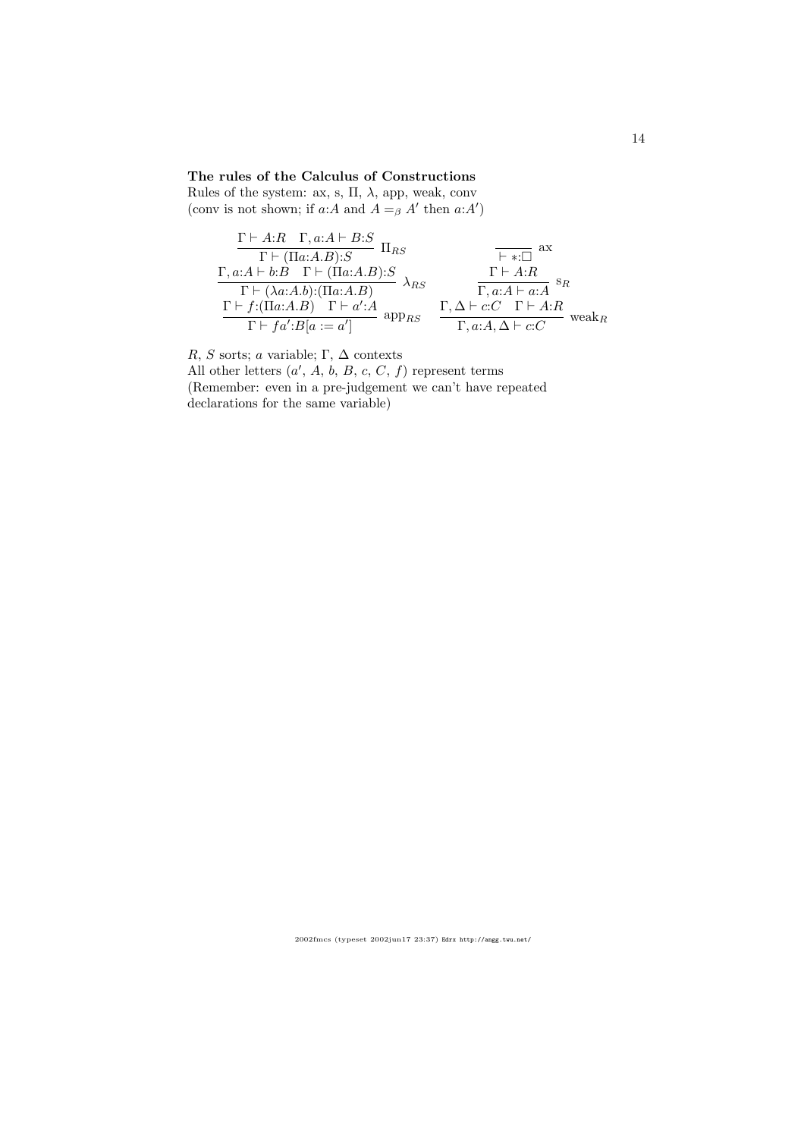## The rules of the Calculus of Constructions

Rules of the system: ax, s,  $\Pi,$   $\lambda,$  app, weak, conv (conv is not shown; if  $a:A$  and  $A =_{\beta} A'$  then  $a:A'$ )

$$
\frac{\Gamma \vdash A:R \quad \Gamma, a:A \vdash B:S}{\Gamma \vdash (\Pi a:A.B):S} \quad \Pi_{RS} \qquad \qquad \overbrace{\begin{array}{c}\n\Gamma \vdash A:A \vdash b:B \quad \Gamma \vdash (\Pi a:A.B):S \\
\Gamma \vdash (\lambda a:A.b):(\Pi a:A.B) \\
\Gamma \vdash f:(\Pi a:A.B) \quad \Gamma \vdash a':A \\
\Gamma \vdash f:(\Pi a:A.B) \quad \Gamma \vdash a':A \\
\Gamma \vdash f a':B[a:=a']\n\end{array}}^{R} \quad \lambda_{RS} \qquad \frac{\Gamma \vdash A:R}{\Gamma, a:A \vdash a:A} s_R
$$
\n
$$
\frac{\Gamma \vdash A:R}{\Gamma \vdash a:A} s_R
$$
\nweak<sub>R</sub>

R, S sorts; a variable; Γ,  $\Delta$  contexts

All other letters  $(a', A, b, B, c, C, f)$  represent terms (Remember: even in a pre-judgement we can't have repeated declarations for the same variable)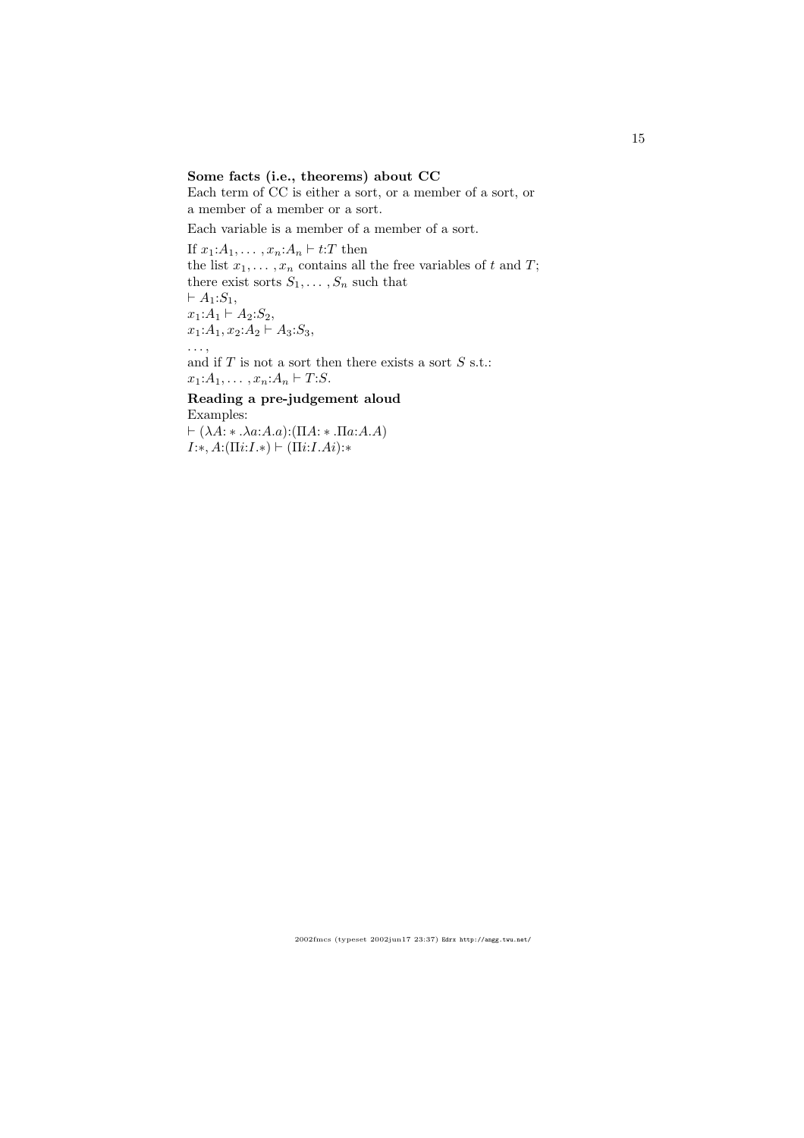## Some facts (i.e., theorems) about CC

Each term of CC is either a sort, or a member of a sort, or a member of a member or a sort.

Each variable is a member of a member of a sort.

If  $x_1:A_1,\ldots,x_n:A_n \vdash t:T$  then the list  $x_1, \ldots, x_n$  contains all the free variables of t and T; there exist sorts  $S_1, \ldots, S_n$  such that  $\vdash A_1: S_1,$  $x_1:A_1 \vdash A_2:S_2,$  $x_1:A_1, x_2:A_2 \vdash A_3: S_3,$ . . . , and if  $T$  is not a sort then there exists a sort  $S$  s.t.:  $x_1:A_1, \ldots, x_n:A_n \vdash T:S.$ Reading a pre-judgement aloud

# Examples:  $\vdash (\lambda A: \ast .\lambda a:A.a):(\Pi A: \ast .\Pi a:A.A)$

 $I:*, A: (\Pi i: I.*) \vdash (\Pi i: I.Ai):*$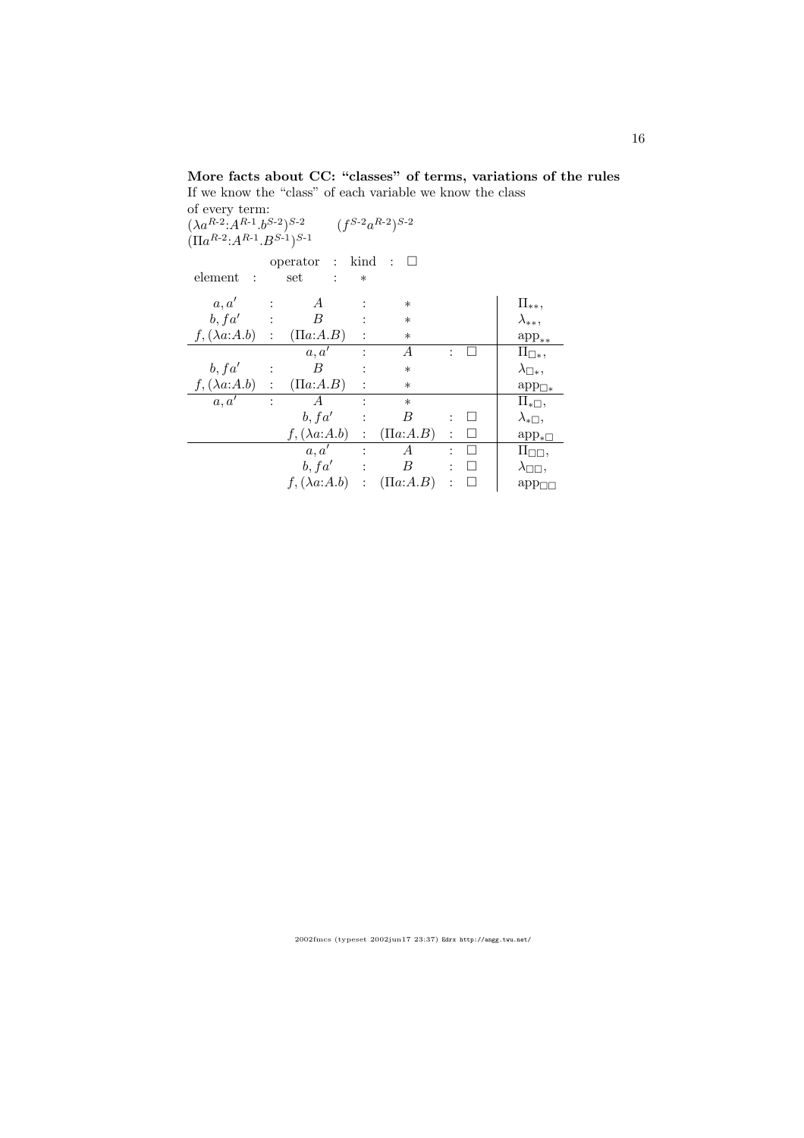# More facts about CC: "classes" of terms, variations of the rules If we know the "class" of each variable we know the class

of every term:  $(\lambda a^{R-2} \cdot A^{R-1} \cdot b^{S-2})^{S-2}$   $(f^{S-2} a^{R-2})^{S-2}$  $(\Pi a^{R-2}$ : $A^{R-1}$ . $B^{S-1})^{S-1}$ 

|                           |                      | operator :            | kind           | ∶ ⊔            |                |         |                             |
|---------------------------|----------------------|-----------------------|----------------|----------------|----------------|---------|-----------------------------|
| element<br>$\ddot{\cdot}$ |                      | set<br>$\ddot{\cdot}$ | $\ast$         |                |                |         |                             |
| a, a'                     | $\ddot{\cdot}$       | A                     | $\ddot{\cdot}$ | $\ast$         |                |         | $\Pi_{**},$                 |
| b, fa'<br>$\sim 10^4$     |                      | B                     |                | $\ast$         |                |         | $\lambda_{**},$             |
| $f, (\lambda a:A.b)$      | :                    | $( \Pi a:A.B)$        | $\ddot{\cdot}$ | $\ast$         |                |         | $app_{**}$                  |
|                           |                      | a, a'                 |                | А              | $\ddot{\cdot}$ |         | $\Pi_{\Box *},$             |
| b, fa'                    | $\ddot{\cdot}$       | B                     | $\ddot{\cdot}$ | $\ast$         |                |         | $\lambda_{\Box *},$         |
| $f,(\lambda a:A.b)$       | $\ddot{\phantom{a}}$ | $(\Pi a:A.B)$         | $\ddot{\cdot}$ | $\ast$         |                |         | $\mathrm{app}_{\square*}$   |
| a, a'                     | $\ddot{\cdot}$       | A                     | $\ddot{\cdot}$ | $\ast$         |                |         | $\Pi_{\ast \Box},$          |
|                           |                      | b, fa'                | $\ddot{\cdot}$ | В              | ÷.             | ⊔       | $\lambda_{\ast \Box},$      |
|                           |                      | $f, (\lambda a:A.b)$  | $\ddot{\cdot}$ | $( \Pi a:A.B)$ | $\ddot{\cdot}$ | $\perp$ | $app_{\ast}$                |
|                           |                      | a, a'                 | $\ddot{\cdot}$ | А              | ÷              |         | $\Pi_{\square\square},$     |
|                           |                      | b, fa'                | $\ddot{\cdot}$ | B              | $\ddot{\cdot}$ | $\perp$ | $\lambda_{\square\square},$ |
|                           |                      | $f, (\lambda a:A.b)$  | :              | $( \Pi a:A.B)$ | $\ddot{\cdot}$ |         | $app_{\Box}$                |
|                           |                      |                       |                |                |                |         |                             |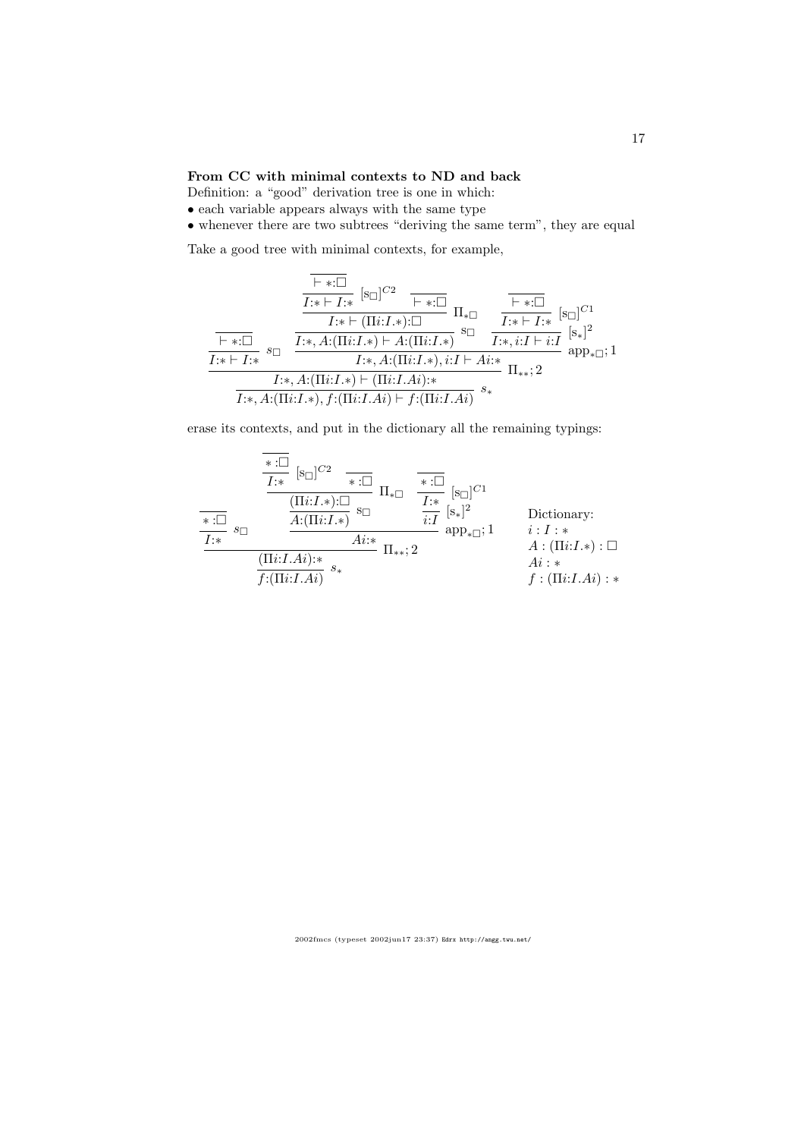### From CC with minimal contexts to ND and back

Definition: a "good" derivation tree is one in which:

 $\bullet$  each variable appears always with the same type

• whenever there are two subtrees "deriving the same term", they are equal

Take a good tree with minimal contexts, for example,

$$
\frac{\frac{\vdash *:\Box}{I:* \vdash I:*} [\mathrm{s}\Box]^{C2} \qquad \qquad \vdash *:\Box}{I:* \vdash (\Pi i: I.*): \Box} \Pi_{* \Box} \qquad \frac{\vdash *:\Box}{I:* \vdash I:*} [\mathrm{s}\Box]^{C1}}{\frac{\vdash *:\Box}{I:* \vdash I:*} s_{\Box} \qquad \frac{\vdash *:\Box}{I:*, A: (\Pi i: I.*) \vdash A: (\Pi i: I.*)} \mathrm{s} \Box} \qquad \frac{\vdash *:\Box}{I:*, i: I \vdash i: I} [\mathrm{s}\Box]^{C1}}{\frac{I:* \vdash I:*} I:*, A: (\Pi i: I.*) \vdash ( \Pi i: I.*), i: I \vdash A i:*} \Pi_{**}; 2}
$$
\n
$$
\frac{I:*, A: (\Pi i: I.*), f: (\Pi i: I.Ai):*}{I:*, A: (\Pi i: I.*), f: (\Pi i: I.Ai) \vdash f: (\Pi i: I.Ai)} s_{*}}
$$

erase its contexts, and put in the dictionary all the remaining typings:

$$
\frac{\overbrace{\phantom{X:\square}}^{*:\square}\ [s_{\square}]^{C2} \quad \overbrace{\phantom{X:\square}}^{*:\square}\ \Pi_{* \square} \quad \overbrace{\phantom{X:\square}}^{*:\square}\ [s_{\square}]^{C1}}{\Pi_{* \square} \quad \overbrace{\phantom{X:\square}}^{I:\ast}\ [s_{\square}]^{C1}} \prod_{\substack{i=1 \ \text{adj} \ [s_{\square}]^{C1}}^{*:\square}\ \overbrace{\phantom{X:\square}}^{I:\ast}\ [s_{\square}]^{C1}} \text{Dictionaries}
$$
\n
$$
\frac{\overbrace{\phantom{X:\square}}^{*:\square}\ s_{\square} \quad \overbrace{\phantom{X:\square}}^{A:(\Pi i:I,\ast):\square}\ s_{\square} \quad \overbrace{\phantom{X:\square}}^{A:i:\ast}\ \Pi_{**};2} \prod_{\substack{i=1 \ \text{adj} \ [s_{\square}]^{*}\ \Lambda_{i}:\ast}}^{*:\square}\ f:(\Pi i:I.Ai):\ast}
$$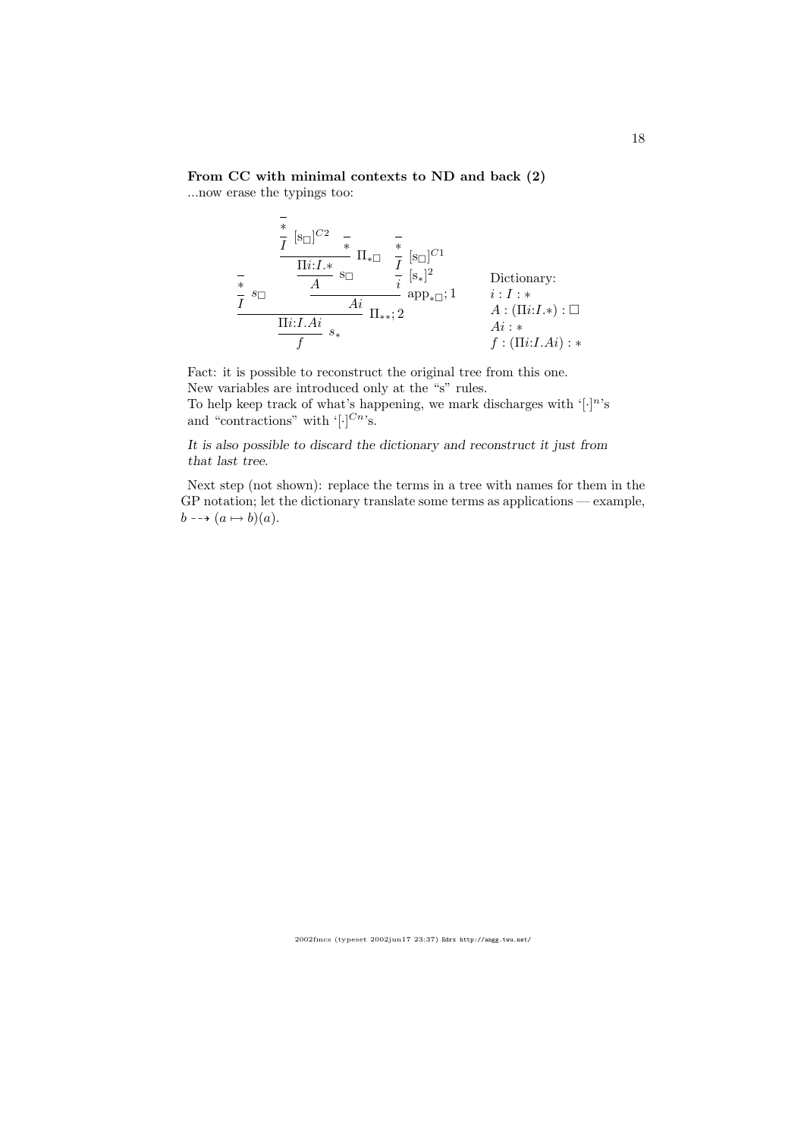# From CC with minimal contexts to ND and back (2)

...now erase the typings too:

$$
\frac{\frac{1}{t} \left[s_{\Box}\right]^{C2} \quad \frac{1}{t} \quad \frac{1}{t} \quad \frac{1}{t} \quad \frac{1}{t} \quad \frac{1}{t} \quad \frac{1}{t} \quad \frac{1}{t} \quad \frac{1}{t} \quad \frac{1}{t} \quad \frac{1}{t} \quad \frac{1}{t} \quad \frac{1}{t} \quad \frac{1}{t} \quad \frac{1}{t} \quad \frac{1}{t} \quad \frac{1}{t} \quad \frac{1}{t} \quad \frac{1}{t} \quad \frac{1}{t} \quad \frac{1}{t} \quad \frac{1}{t} \quad \frac{1}{t} \quad \frac{1}{t} \quad \frac{1}{t} \quad \frac{1}{t} \quad \frac{1}{t} \quad \frac{1}{t} \quad \frac{1}{t} \quad \frac{1}{t} \quad \frac{1}{t} \quad \frac{1}{t} \quad \frac{1}{t} \quad \frac{1}{t} \quad \frac{1}{t} \quad \frac{1}{t} \quad \frac{1}{t} \quad \frac{1}{t} \quad \frac{1}{t} \quad \frac{1}{t} \quad \frac{1}{t} \quad \frac{1}{t} \quad \frac{1}{t} \quad \frac{1}{t} \quad \frac{1}{t} \quad \frac{1}{t} \quad \frac{1}{t} \quad \frac{1}{t} \quad \frac{1}{t} \quad \frac{1}{t} \quad \frac{1}{t} \quad \frac{1}{t} \quad \frac{1}{t} \quad \frac{1}{t} \quad \frac{1}{t} \quad \frac{1}{t} \quad \frac{1}{t} \quad \frac{1}{t} \quad \frac{1}{t} \quad \frac{1}{t} \quad \frac{1}{t} \quad \frac{1}{t} \quad \frac{1}{t} \quad \frac{1}{t} \quad \frac{1}{t} \quad \frac{1}{t} \quad \frac{1}{t} \quad \frac{1}{t} \quad \frac{1}{t} \quad \frac{1}{t} \quad \frac{1}{t} \quad \frac{1}{t} \quad \frac{1}{t} \quad \frac{1}{t} \quad \frac{1}{t} \quad \frac{1}{t} \quad \frac{1}{t} \quad \frac{1}{t} \quad \frac{1}{t} \quad \frac{1}{t} \quad \frac{1}{t} \quad \frac{1}{t} \quad \frac{1}{t}
$$

Fact: it is possible to reconstruct the original tree from this one. New variables are introduced only at the "s" rules. To help keep track of what's happening, we mark discharges with  $\lbrack \cdot \rbrack^n$ 's and "contractions" with  $\lbrack \cdot \rbrack^{Cn}$ 's.

It is also possible to discard the dictionary and reconstruct it just from that last tree.

Next step (not shown): replace the terms in a tree with names for them in the GP notation; let the dictionary translate some terms as applications — example,  $b \dashrightarrow (a \mapsto b)(a).$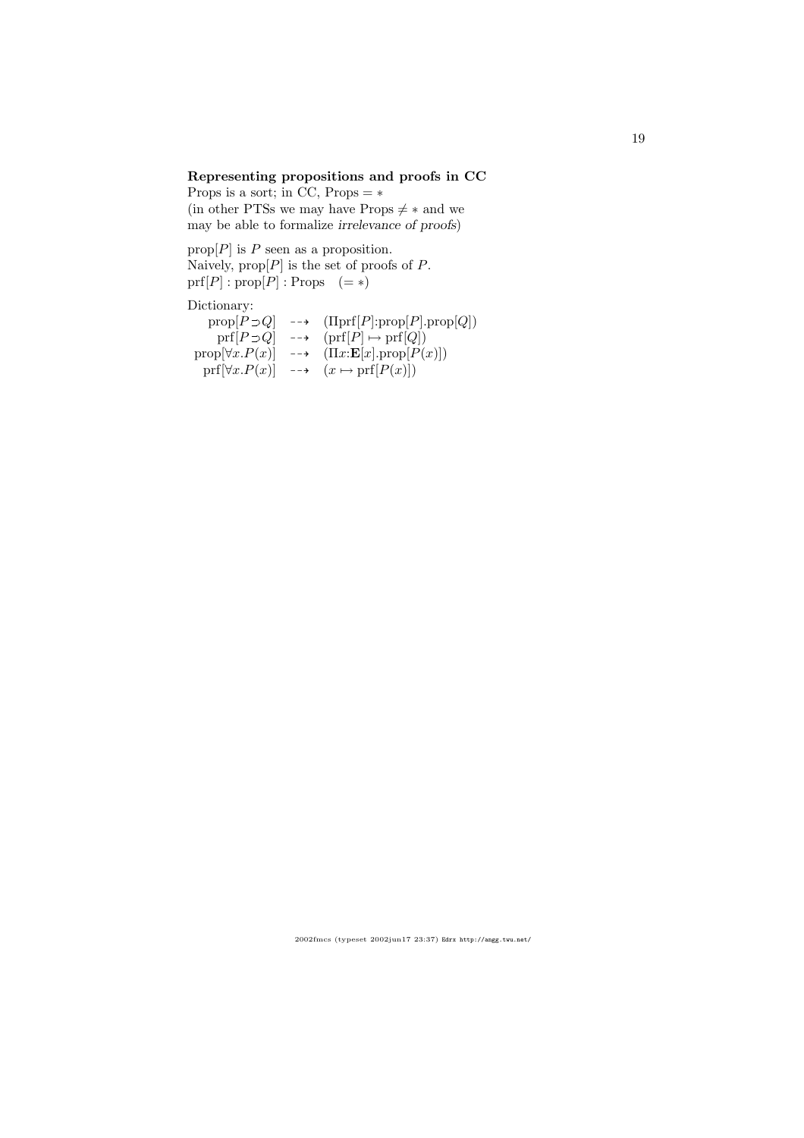# Representing propositions and proofs in CC

Props is a sort; in CC,  $Props = *$ (in other PTSs we may have Props  $\neq *$  and we may be able to formalize irrelevance of proofs)

prop $[P]$  is P seen as a proposition. Naively,  $prop[P]$  is the set of proofs of P.  $prf[P] : prop[P] : Props \quad (=\ast)$ 

Dictionary:

| $prop[P \supset Q]$    | $\rightarrow$ $(\text{Tprf}[P]: \text{prop}[P]. \text{prop}[Q])$ |
|------------------------|------------------------------------------------------------------|
| $prf[P \supset Q]$     | $\rightarrow$ $\text{prf}[P] \mapsto \text{prf}[Q])$             |
| $prop[\forall x.P(x)]$ | $\rightarrow$ $(\Pi x: \mathbf{E}[x].prop[P(x)])$                |
| $prf[\forall x.P(x)]$  | $\longrightarrow$ $(x \mapsto \text{prf}[P(x)])$                 |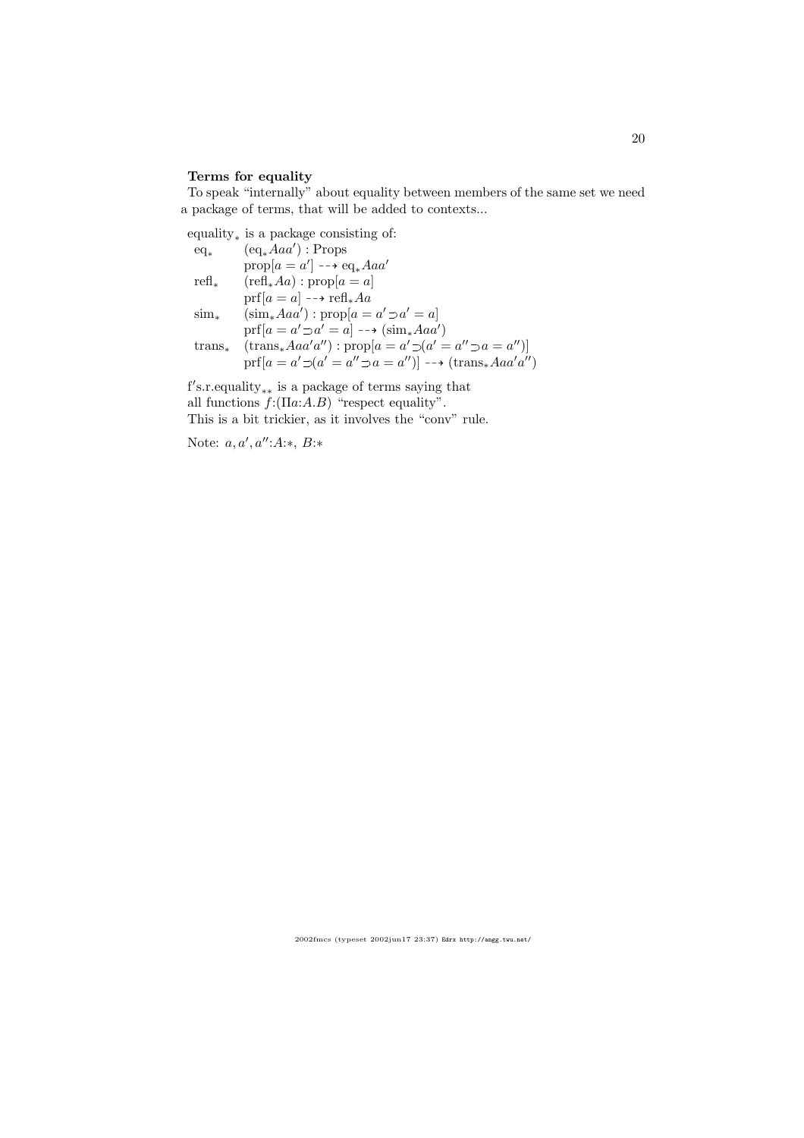### Terms for equality

To speak "internally" about equality between members of the same set we need a package of terms, that will be added to contexts...

equality<sup>∗</sup> is a package consisting of: eq<sup>∗</sup> (eq∗Aaa′ ) : Props  $prop[a = a'] \dashrightarrow eq_* A a a'$ refl<sub>∗</sub> (refl<sub>∗</sub>Aa) : prop[ $a = a$ ]  $\text{prf}[a = a] \dashrightarrow \text{refl}_*Aa$  $\text{sim}_{*} \quad (\text{sim}_{*} A a a') : \text{prop}[a = a' \supset a' = a]$  $\mathrm{prf}[a = a' \supset a' = a] \dashrightarrow (\mathrm{sim}_* A a a')$ trans<sub>∗</sub> (trans<sub>∗</sub>Aaa'a''): prop[a = a'  $\supset$ (a' = a''  $\supset$ a = a'')]  $\mathrm{prf}[a = a' \supset (a' = a'' \supset a = a'')] \longrightarrow (\mathrm{trans}_* A a a' a'')$ 

f's.r.equality<sub>\*\*</sub> is a package of terms saying that all functions  $f:(\Pi a:A.B)$  "respect equality". This is a bit trickier, as it involves the "conv" rule.

Note:  $a, a', a'' : A:*, B:$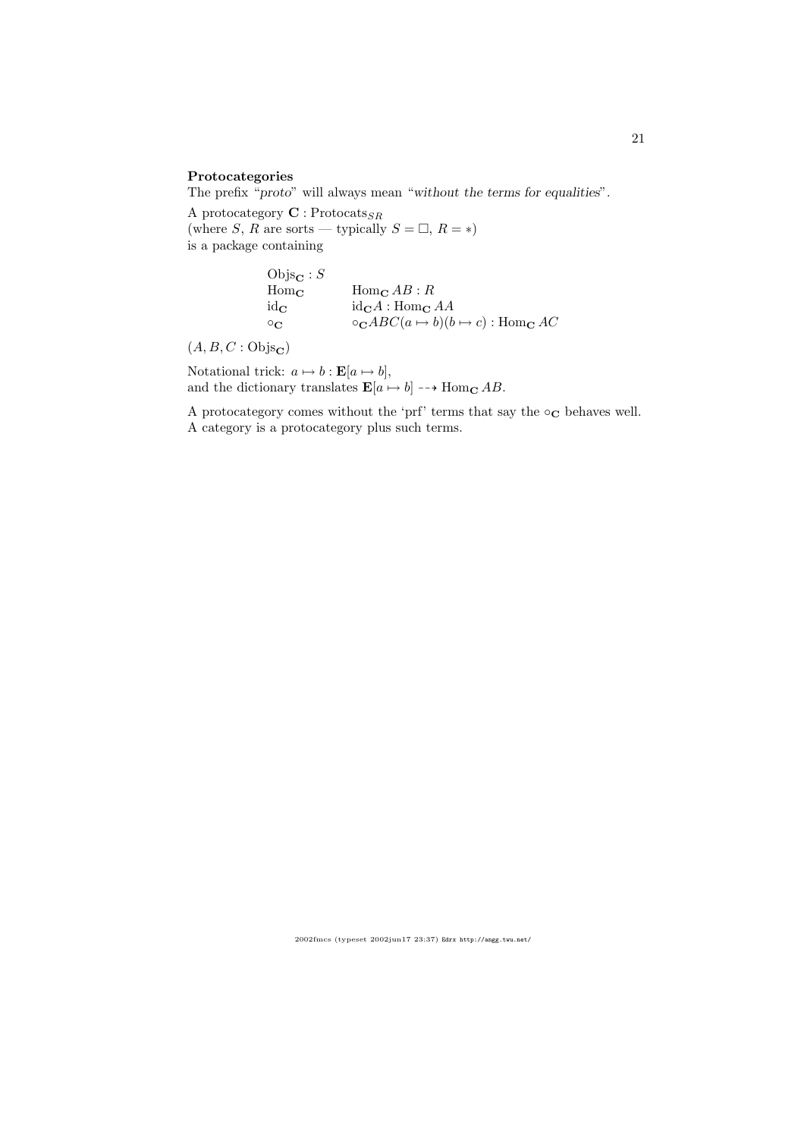### Protocategories

The prefix "proto" will always mean "without the terms for equalities".

A protocategory  $\mathbf{C}:\mathsf{Protocats}_{SR}$ (where S, R are sorts — typically  $S = \Box$ ,  $R = *)$ is a package containing

> $\begin{array}{l} \mathrm{Objs}_\mathbf{C} : S \\ \mathrm{Hom}_\mathbf{C} \end{array}$  $\text{Hom}_{\mathbf{C}} AB : R$  $id_{\mathbf{C}}$   $id_{\mathbf{C}}A : Hom_{\mathbf{C}}AA$  $\circ_{\mathbf{C}}$   $\circ_{\mathbf{C}} ABC(a \mapsto b)(b \mapsto c)$ : Hom<sub>C</sub> AC

 $(A, B, C : \mathrm{Objs}_{\mathbf{C}})$ 

Notational trick:  $a \mapsto b : \mathbf{E}[a \mapsto b],$ and the dictionary translates  $\mathbf{E}[a \mapsto b] \dashrightarrow \text{Hom}_{\mathbf{C}} AB$ .

A protocategory comes without the 'prf' terms that say the  $\circ_{\mathbf{C}}$  behaves well. A category is a protocategory plus such terms.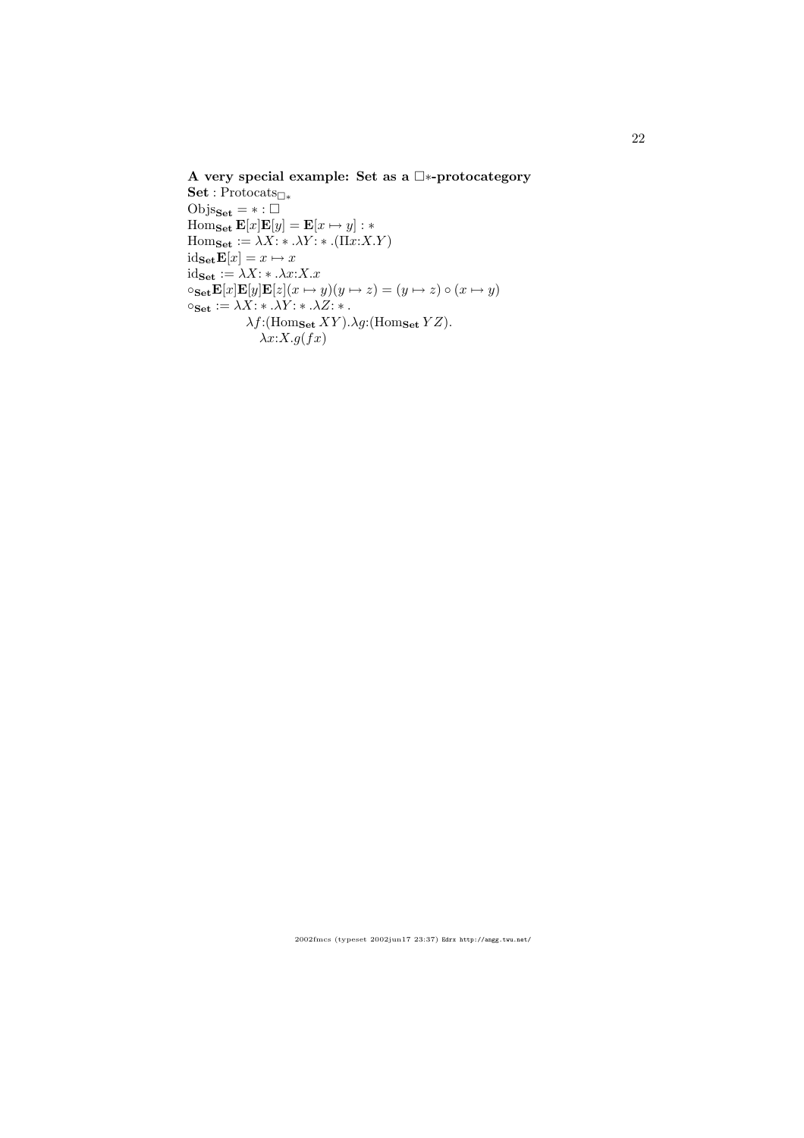# A very special example: Set as a  $\square*$ -protocategory

Set : Protocats<sub>□\*</sub> Objs $_{\text{Set}}$  =  $*$  :  $\square$  $\operatorname{Hom}_{\mathbf{Set}} \mathbf{E}[x] \mathbf{E}[y] = \mathbf{E}[x \mapsto y] : *$  $\text{Hom}_{\textbf{Set}} := \lambda X: * \lambda Y: * .(\Pi x: X.Y)$  $id_{\textbf{Set}}\mathbf{E}[x] = x \mapsto x$  $id_{\mathbf{Set}} := \lambda X: * \lambda x: X.x$  $\circ$ Set**E**[x]**E**[y]**E**[z](x  $\mapsto$  y)(y  $\mapsto$  z) = (y  $\mapsto$  z)  $\circ$  (x  $\mapsto$  y)  $\circ_{\mathbf{Set}} := \lambda X: * \lambda Y: * \lambda Z: *$ .  $\lambda f$ :(Hom<sub>Set</sub>  $XY$ ). $\lambda g$ :(Hom<sub>Set</sub>  $YZ$ ).  $\lambda x:X.g(fx)$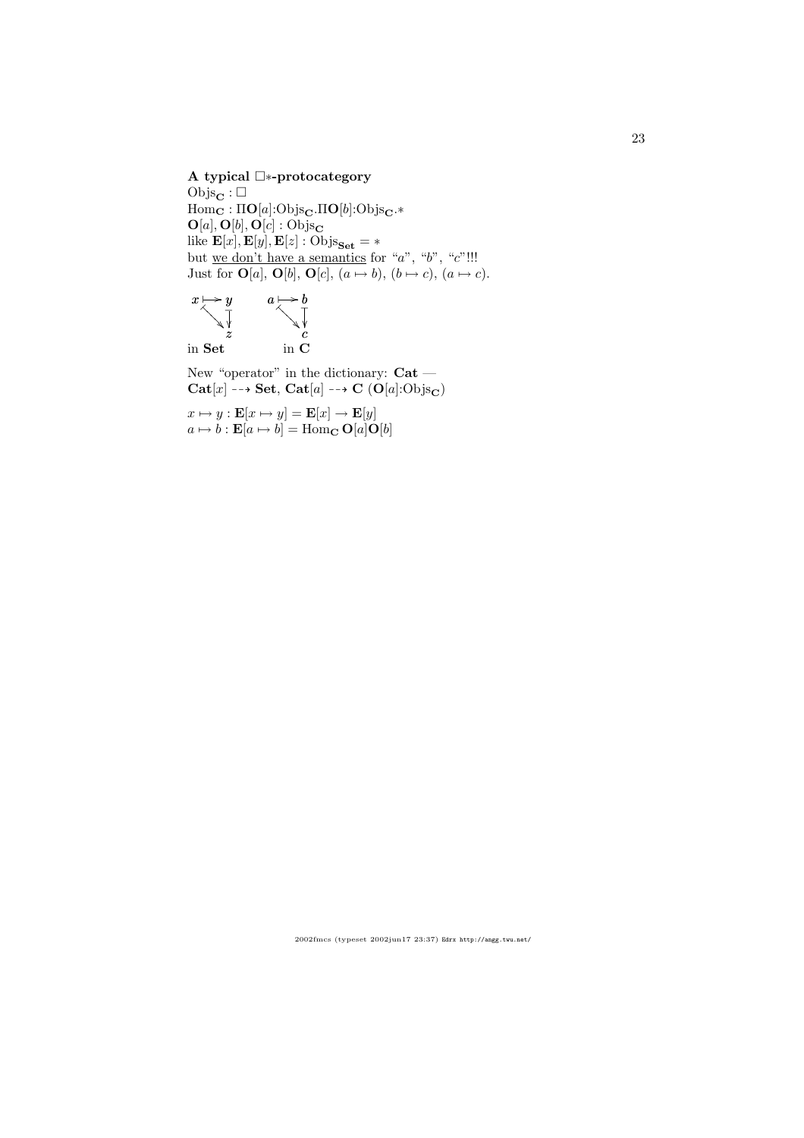### A typical □∗-protocategory

Objs $_{\mathrm{C}}$ :  $\Box$  $Hom_{\mathbf{C}} : \Pi\mathbf{O}[a]:Objs_{\mathbf{C}}.\Pi\mathbf{O}[b]:Objs_{\mathbf{C}}.*$  $O[a], O[b], O[c] : Objs_{\mathbf{C}}$ like  $\mathbf{E}[x], \mathbf{E}[y], \mathbf{E}[z] : \mathrm{Objs}_{\mathbf{Set}} = *$ but <u>we don't have a semantics</u> for "a", "b", "c"!!! Just for  $\mathbf{O}[a], \mathbf{O}[b], \mathbf{O}[c], (a \mapsto b), (b \mapsto c), (a \mapsto c).$ 



New "operator" in the dictionary:  $\mathbf{Cat}$   $\mathbf{-}$  $Cat[x] \dashrightarrow Set, Cat[a] \dashrightarrow C (O[a]:Objs_C)$ 

 $x \mapsto y : \mathbf{E}[x \mapsto y] = \mathbf{E}[x] \to \mathbf{E}[y]$  $a \mapsto b : \mathbf{E}[a \mapsto b] = \text{Hom}_{\mathbf{C}} \mathbf{O}[a] \mathbf{O}[b]$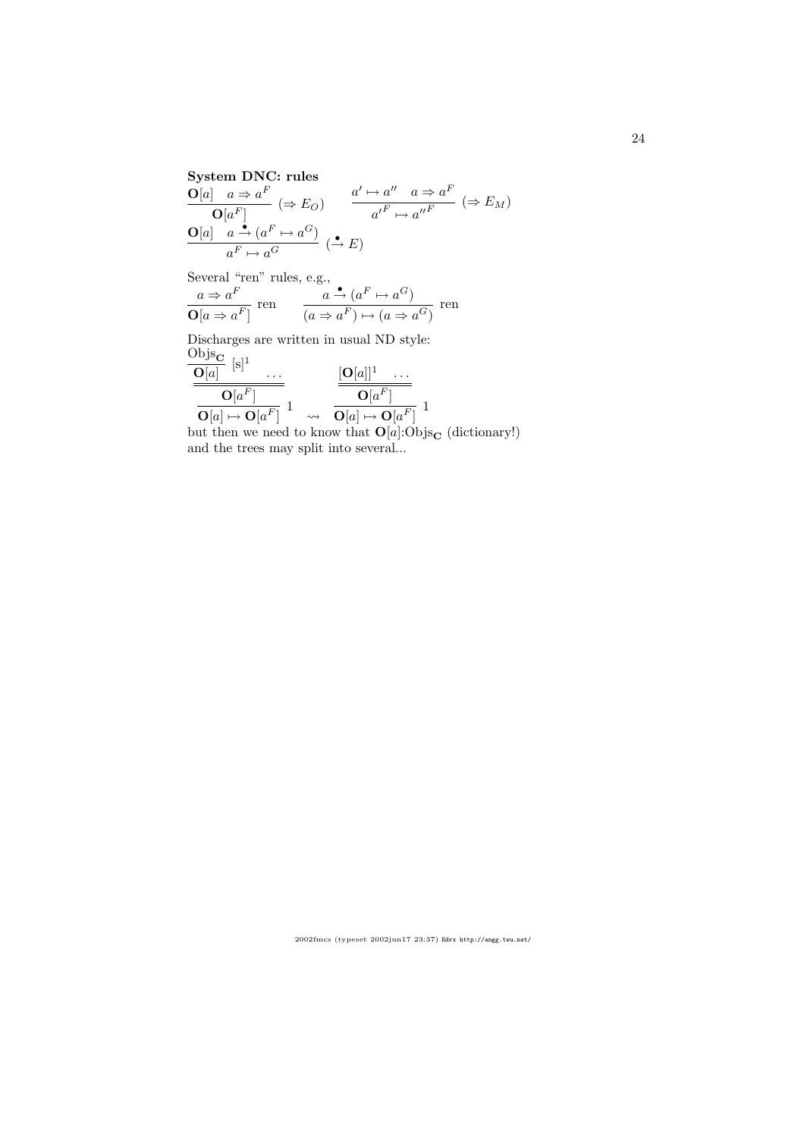#### System DNC: rules  $\mathbf{O}[a]$   $a \Rightarrow a^F$  $\overline{\mathbf{O}[a^F]} \quad (\Rightarrow E_O)$  $a' \mapsto a'' \quad a \Rightarrow a^F$  $a'^F \mapsto a''^F \quad (\Rightarrow E_M)$  $\mathbf{O}[a] \stackrel{\bullet}{\phantom{a}} a \stackrel{\bullet}{\rightarrow} (a^F \mapsto a^G)$  $\frac{a \rightarrow (a \rightarrow a^{-})}{a^{F} \rightarrow a^{G}} \stackrel{\bullet}{\rightarrow} E$

Several "ren" rules, e.g.,

$$
\frac{a \Rightarrow a^F}{\mathbf{O}[a \Rightarrow a^F]} \text{ ren } \frac{a \stackrel{\bullet}{\rightarrow} (a^F \mapsto a^G)}{(a \Rightarrow a^F) \mapsto (a \Rightarrow a^G)} \text{ ren }
$$

Discharges are written in usual ND style:  $\frac{\text{Objs}_{\mathbf{C}}}{\mathbf{C}^{[-]}}$  [s]<sup>1</sup>

$$
\begin{array}{c|c}\n\hline\n\mathbf{O}[a] & \stackrel{\text{[S]}}{\text{[O]} } \cdots \\
\hline\n\mathbf{O}[a^F] & \downarrow \\
\hline\n\mathbf{O}[a] \mapsto \mathbf{O}[a^F] & \downarrow \\
\hline\n\mathbf{O}[a] \mapsto \mathbf{O}[a^F] & \downarrow \\
\hline\n\mathbf{O}[a] \mapsto \mathbf{O}[a^F] & \downarrow \\
\hline\n\mathbf{O}[a] \mapsto \mathbf{O}[a^F] & \downarrow \\
\hline\n\mathbf{O}[a] \mapsto \mathbf{O}[a^F] & \downarrow \\
\hline\n\mathbf{O}[a] \mapsto \mathbf{O}[a^F] & \downarrow \\
\hline\n\mathbf{O}[a] \mapsto \mathbf{O}[a^F] & \downarrow \\
\hline\n\mathbf{O}[a] \mapsto \mathbf{O}[a^F] & \downarrow \\
\hline\n\mathbf{O}[a] \mapsto \mathbf{O}[a^F] & \downarrow \\
\hline\n\mathbf{O}[a^F] & \downarrow \\
\hline\n\mathbf{O}[a^F] & \downarrow \\
\hline\n\mathbf{O}[a^F] & \downarrow \\
\hline\n\mathbf{O}[a^F] & \downarrow \\
\hline\n\mathbf{O}[a^F] & \downarrow \\
\hline\n\mathbf{O}[a^F] & \downarrow \\
\hline\n\mathbf{O}[a^F] & \downarrow \\
\hline\n\mathbf{O}[a^F] & \downarrow \\
\hline\n\mathbf{O}[a^F] & \downarrow \\
\hline\n\mathbf{O}[a^F] & \downarrow \\
\hline\n\mathbf{O}[a^F] & \downarrow \\
\hline\n\mathbf{O}[a^F] & \downarrow \\
\hline\n\mathbf{O}[a^F] & \downarrow \\
\hline\n\mathbf{O}[a^F] & \downarrow \\
\hline\n\mathbf{O}[a^F] & \downarrow \\
\hline\n\mathbf{O}[a^F] & \downarrow \\
\hline\n\mathbf{O}[a^F] & \downarrow \\
\hline\n\mathbf{O}[a^F] & \downarrow \\
\hline\n\mathbf{O}[a^F] & \downarrow \\
\hline\n\math
$$

but then we need to know that  $O[a]:O \text{bjs}_{\textbf{C}}$  (dictionary!) and the trees may split into several...

24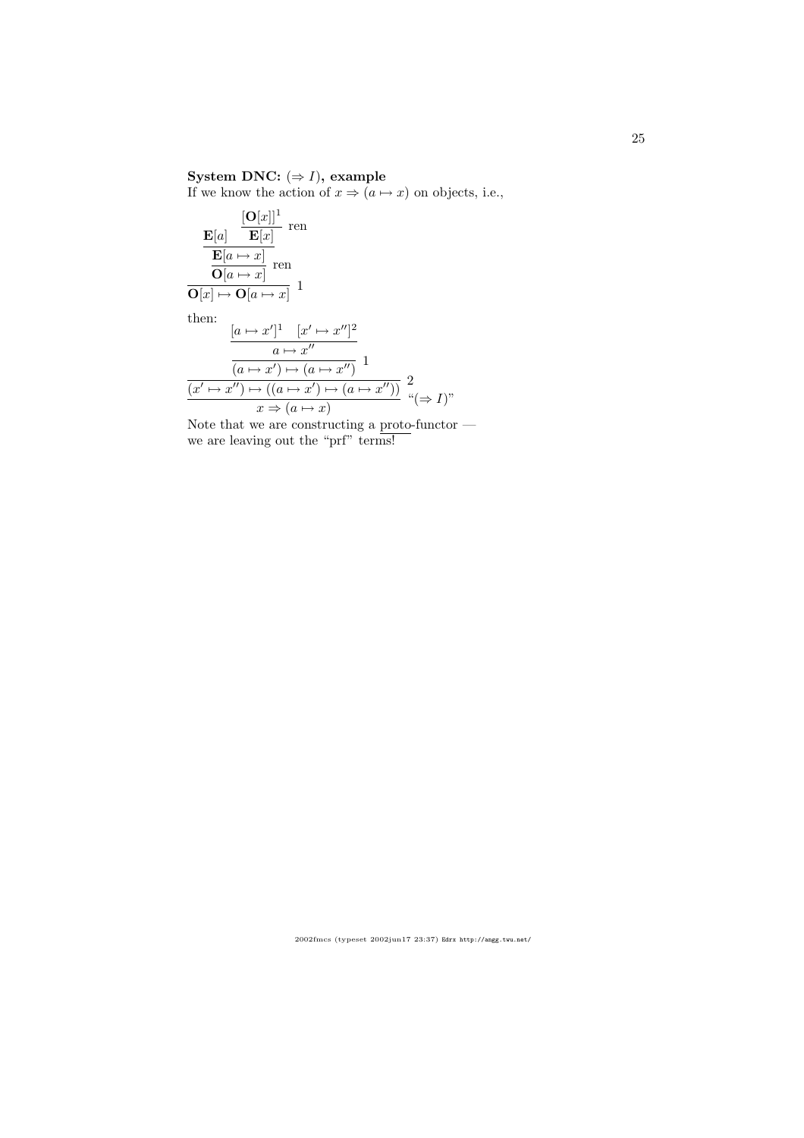# System DNC:  $(\Rightarrow I)$ , example

If we know the action of  $x \Rightarrow (a \mapsto x)$  on objects, i.e.,

 ${\bf E}[a]$  $[{\bf O}[x]]^1$  $\frac{\mathbf{E}[\mathbf{x}]}{\mathbf{E}[x]}$  ren  $\mathbf{E}[a \mapsto x]$  $\frac{\mathbf{C}[\alpha - x]}{\mathbf{O}[a \mapsto x]}$  ren  $\overline{\mathbf{O}[x] \mapsto \mathbf{O}[a \mapsto x]} \quad 1$ then:  $[a \mapsto x']^1 \quad [x' \mapsto x'']^2$  $a \mapsto x''$  $\overline{(a\mapsto x')\mapsto (a\mapsto x'')}$  1  $\overline{(x' \mapsto x'') \mapsto ((a \mapsto x') \mapsto (a \mapsto x''))}$  2  $\frac{x \to (a \mapsto x)}{x \to (a \mapsto x)}$  " $(\Rightarrow I)$ "

Note that we are constructing a proto-functor we are leaving out the "prf" terms!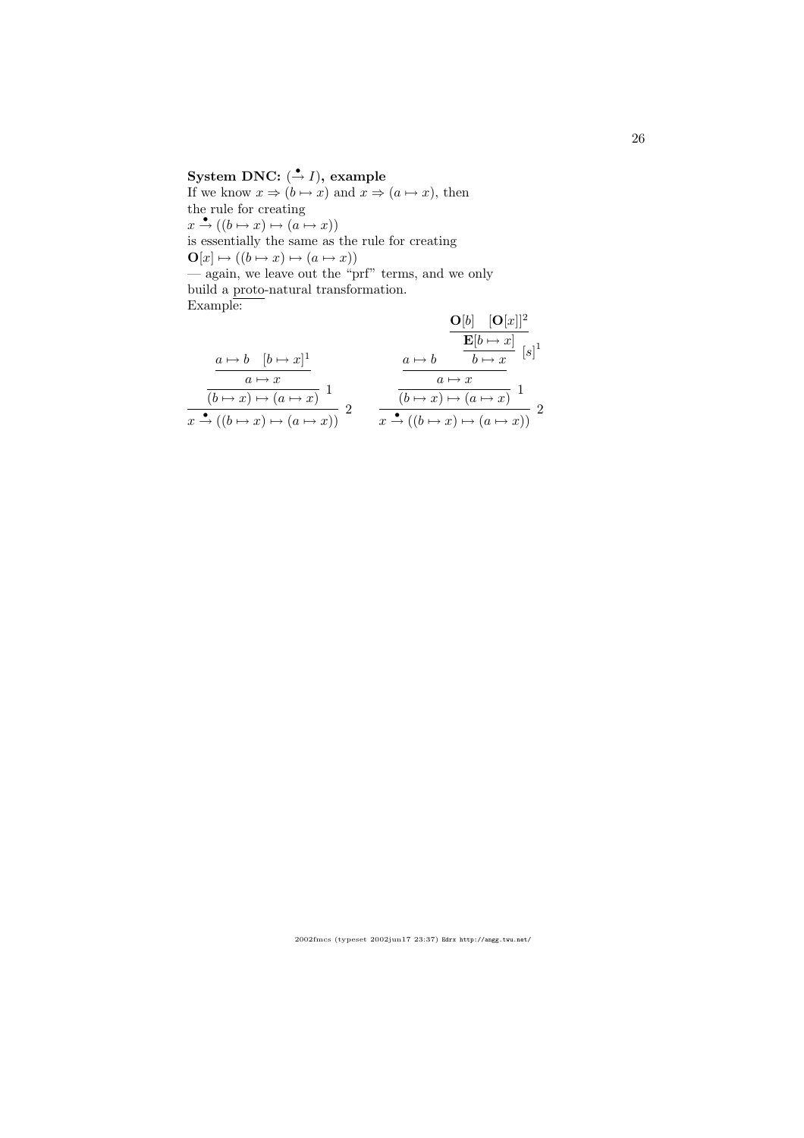# System DNC:  $(\stackrel{\bullet}{\to} I)$ , example

If we know  $x \Rightarrow (b \mapsto x)$  and  $x \Rightarrow (a \mapsto x)$ , then the rule for creating  $x \xrightarrow{\bullet} ((b \mapsto x) \mapsto (a \mapsto x))$ is essentially the same as the rule for creating  $\mathbf{O}[x] \mapsto ((b \mapsto x) \mapsto (a \mapsto x))$ — again, we leave out the "prf" terms, and we only build a proto-natural transformation. Example:  $O[h]$   $[O[x]]^2$ 

$$
\frac{a \mapsto b \quad [b \mapsto x]^1}{a \mapsto x}
$$
\n
$$
\frac{a \mapsto b \quad [b \mapsto x]^1}{(b \mapsto x) \mapsto (a \mapsto x)}
$$
\n
$$
\frac{a \mapsto b \quad \frac{a \mapsto b}{b \mapsto x}}{(b \mapsto x) \mapsto (a \mapsto x)}
$$
\n
$$
\frac{a \mapsto b \quad \frac{b \mapsto x}{b \mapsto x}}{(b \mapsto x) \mapsto (a \mapsto x)}
$$
\n
$$
\frac{a \mapsto b \quad \frac{b \mapsto x}{b \mapsto x}}{(b \mapsto x) \mapsto (a \mapsto x)}
$$
\n
$$
\frac{a \mapsto b \quad \frac{b \mapsto x}{b \mapsto x}}{(b \mapsto x) \mapsto (a \mapsto x)}
$$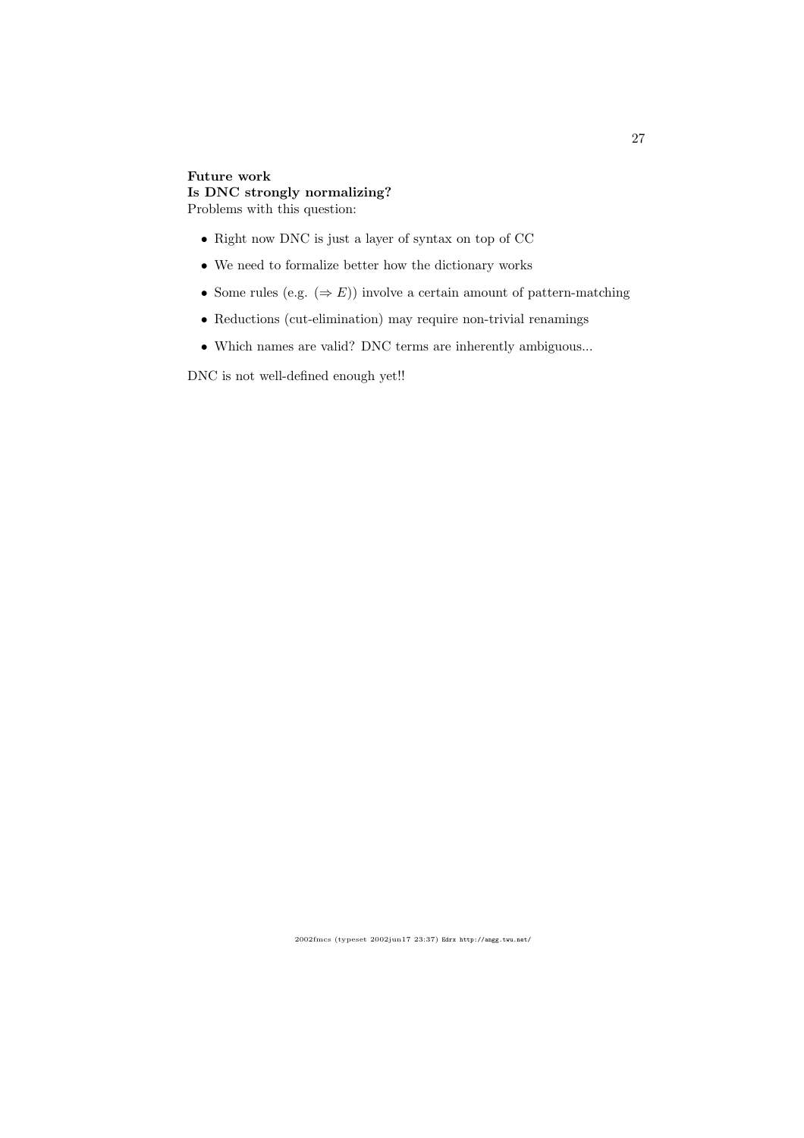## Future work Is DNC strongly normalizing? Problems with this question:

- Right now DNC is just a layer of syntax on top of CC
- We need to formalize better how the dictionary works
- Some rules (e.g.  $(\Rightarrow E)$ ) involve a certain amount of pattern-matching
- Reductions (cut-elimination) may require non-trivial renamings
- Which names are valid? DNC terms are inherently ambiguous...

DNC is not well-defined enough yet!!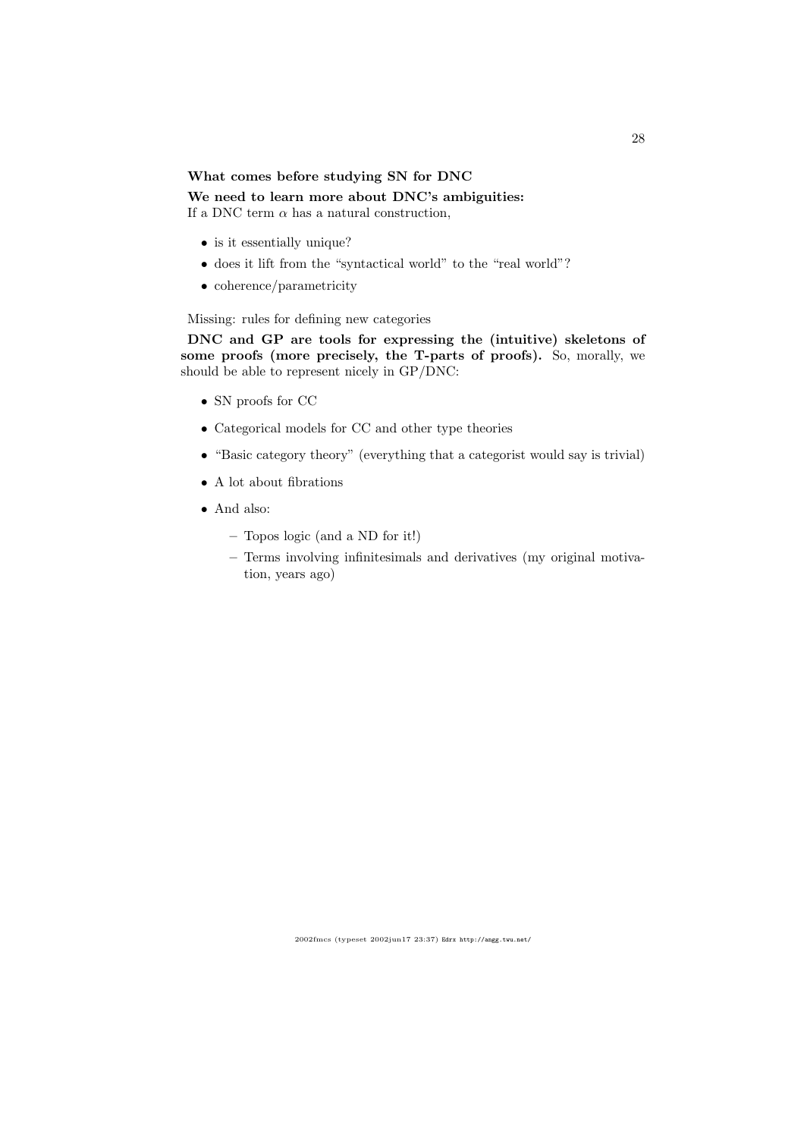### What comes before studying SN for DNC

### We need to learn more about DNC's ambiguities:

If a DNC term  $\alpha$  has a natural construction,

- is it essentially unique?
- does it lift from the "syntactical world" to the "real world"?
- coherence/parametricity

Missing: rules for defining new categories

DNC and GP are tools for expressing the (intuitive) skeletons of some proofs (more precisely, the T-parts of proofs). So, morally, we should be able to represent nicely in GP/DNC:

- SN proofs for CC
- Categorical models for CC and other type theories
- "Basic category theory" (everything that a categorist would say is trivial)
- A lot about fibrations
- And also:
	- Topos logic (and a ND for it!)
	- Terms involving infinitesimals and derivatives (my original motivation, years ago)